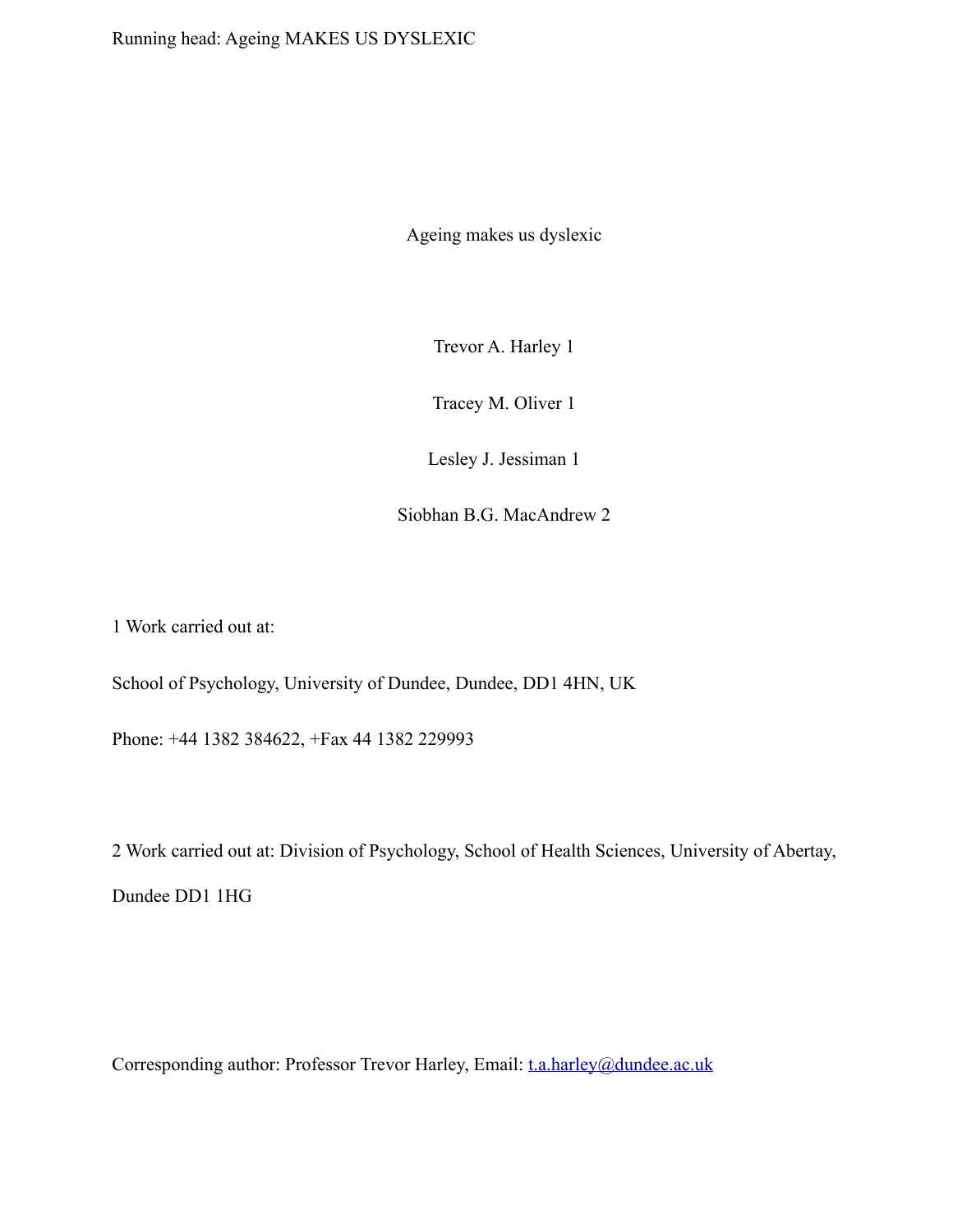Ageing makes us dyslexic

Trevor A. Harley 1

Tracey M. Oliver 1

Lesley J. Jessiman 1

Siobhan B.G. MacAndrew 2

1 Work carried out at:

School of Psychology, University of Dundee, Dundee, DD1 4HN, UK

Phone: +44 1382 384622, +Fax 44 1382 229993

2 Work carried out at: Division of Psychology, School of Health Sciences, University of Abertay, Dundee DD1 1HG

Corresponding author: Professor Trevor Harley, Email: [t.a.harley@dundee.ac.uk](mailto:t.a.harley@dundee.ac.uk)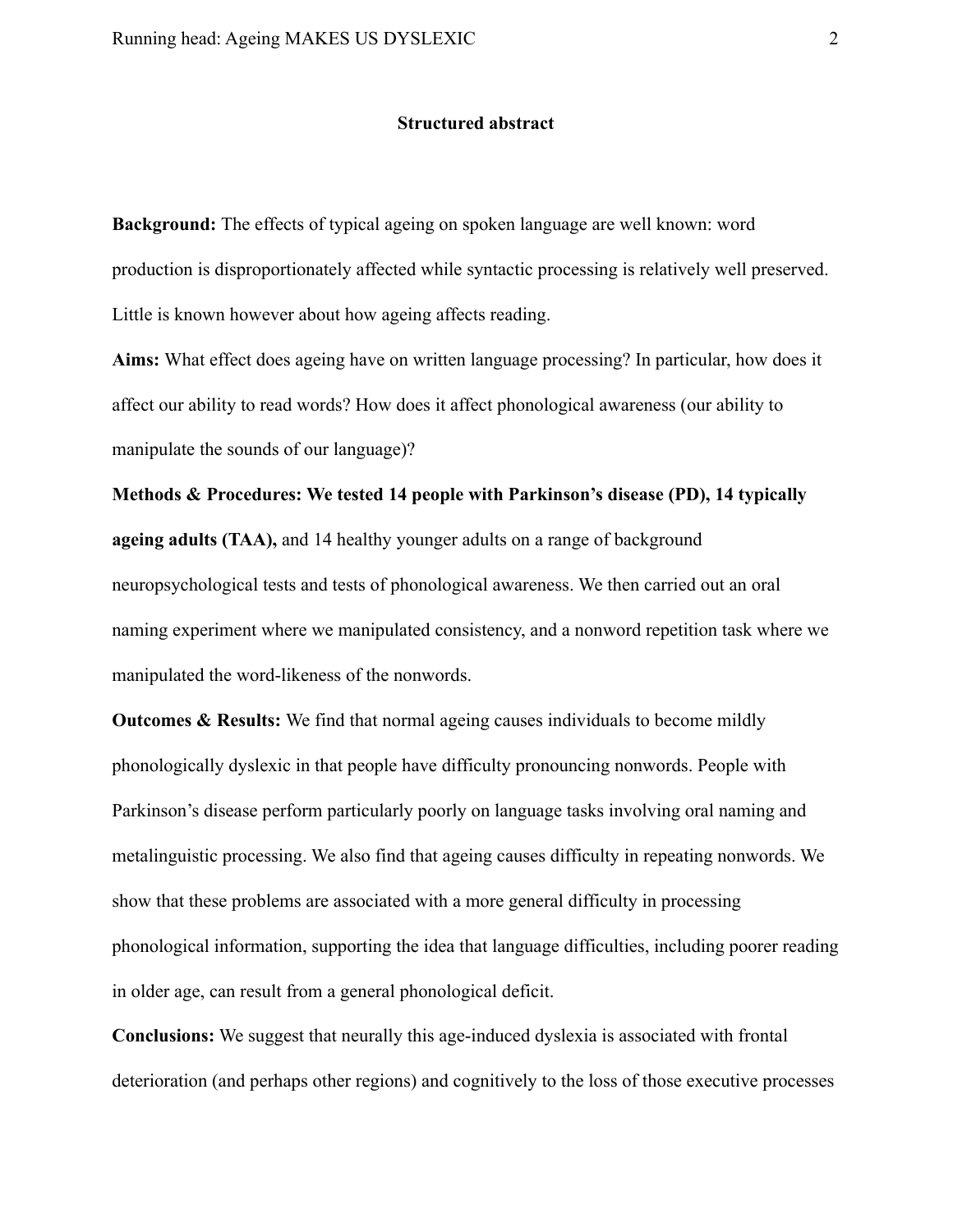# **Structured abstract**

**Background:** The effects of typical ageing on spoken language are well known: word production is disproportionately affected while syntactic processing is relatively well preserved. Little is known however about how ageing affects reading.

**Aims:** What effect does ageing have on written language processing? In particular, how does it affect our ability to read words? How does it affect phonological awareness (our ability to manipulate the sounds of our language)?

**Methods & Procedures: We tested 14 people with Parkinson's disease (PD), 14 typically ageing adults (TAA),** and 14 healthy younger adults on a range of background neuropsychological tests and tests of phonological awareness. We then carried out an oral naming experiment where we manipulated consistency, and a nonword repetition task where we manipulated the word-likeness of the nonwords.

**Outcomes & Results:** We find that normal ageing causes individuals to become mildly phonologically dyslexic in that people have difficulty pronouncing nonwords. People with Parkinson's disease perform particularly poorly on language tasks involving oral naming and metalinguistic processing. We also find that ageing causes difficulty in repeating nonwords. We show that these problems are associated with a more general difficulty in processing phonological information, supporting the idea that language difficulties, including poorer reading in older age, can result from a general phonological deficit.

**Conclusions:** We suggest that neurally this age-induced dyslexia is associated with frontal deterioration (and perhaps other regions) and cognitively to the loss of those executive processes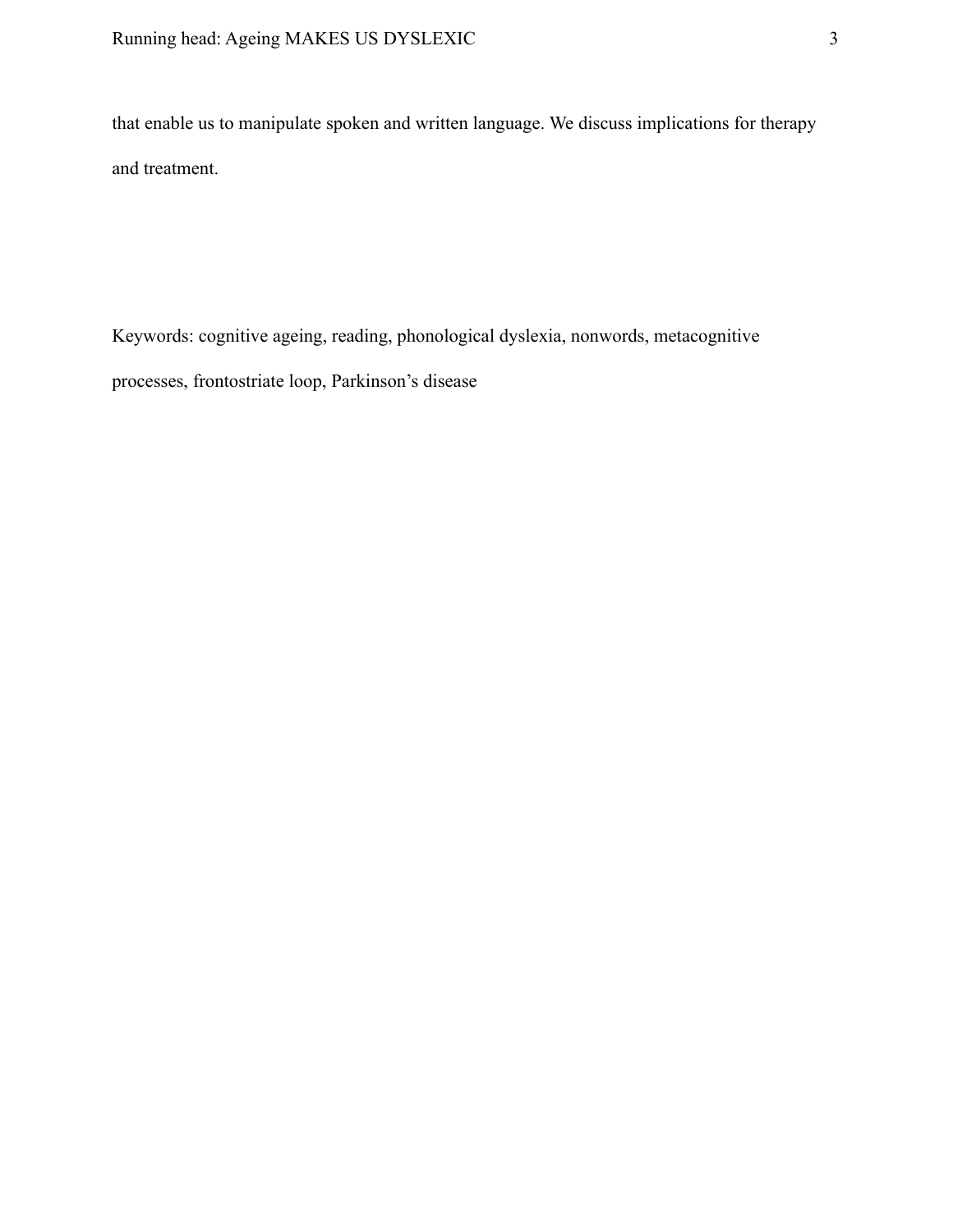that enable us to manipulate spoken and written language. We discuss implications for therapy and treatment.

Keywords: cognitive ageing, reading, phonological dyslexia, nonwords, metacognitive processes, frontostriate loop, Parkinson's disease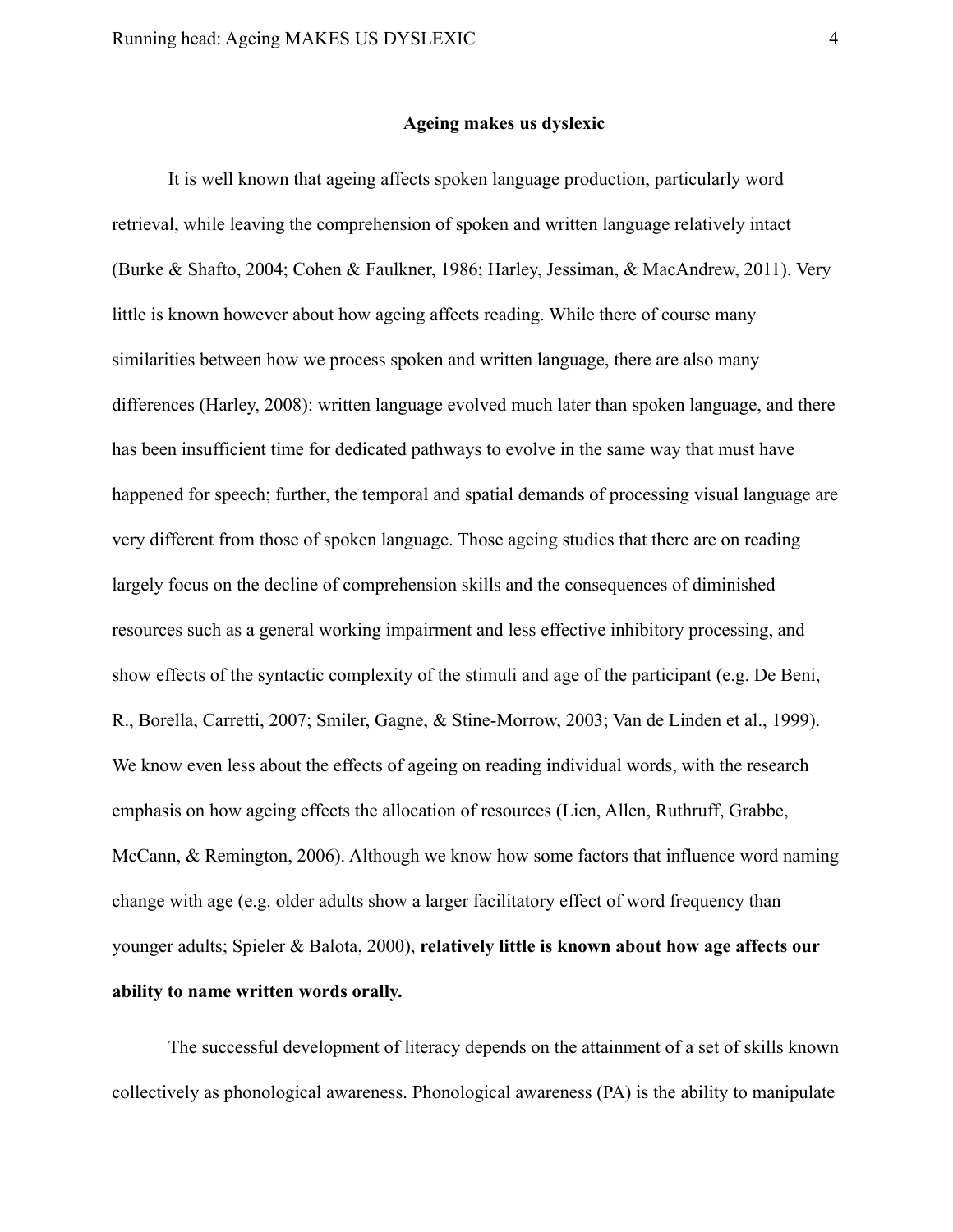# **Ageing makes us dyslexic**

It is well known that ageing affects spoken language production, particularly word retrieval, while leaving the comprehension of spoken and written language relatively intact (Burke & Shafto, 2004; Cohen & Faulkner, 1986; Harley, Jessiman, & MacAndrew, 2011). Very little is known however about how ageing affects reading. While there of course many similarities between how we process spoken and written language, there are also many differences (Harley, 2008): written language evolved much later than spoken language, and there has been insufficient time for dedicated pathways to evolve in the same way that must have happened for speech; further, the temporal and spatial demands of processing visual language are very different from those of spoken language. Those ageing studies that there are on reading largely focus on the decline of comprehension skills and the consequences of diminished resources such as a general working impairment and less effective inhibitory processing, and show effects of the syntactic complexity of the stimuli and age of the participant (e.g. De Beni, R., Borella, Carretti, 2007; Smiler, Gagne, & Stine-Morrow, 2003; Van de Linden et al., 1999). We know even less about the effects of ageing on reading individual words, with the research emphasis on how ageing effects the allocation of resources (Lien, Allen, Ruthruff, Grabbe, McCann, & Remington, 2006). Although we know how some factors that influence word naming change with age (e.g. older adults show a larger facilitatory effect of word frequency than younger adults; Spieler & Balota, 2000), **relatively little is known about how age affects our ability to name written words orally.**

The successful development of literacy depends on the attainment of a set of skills known collectively as phonological awareness. Phonological awareness (PA) is the ability to manipulate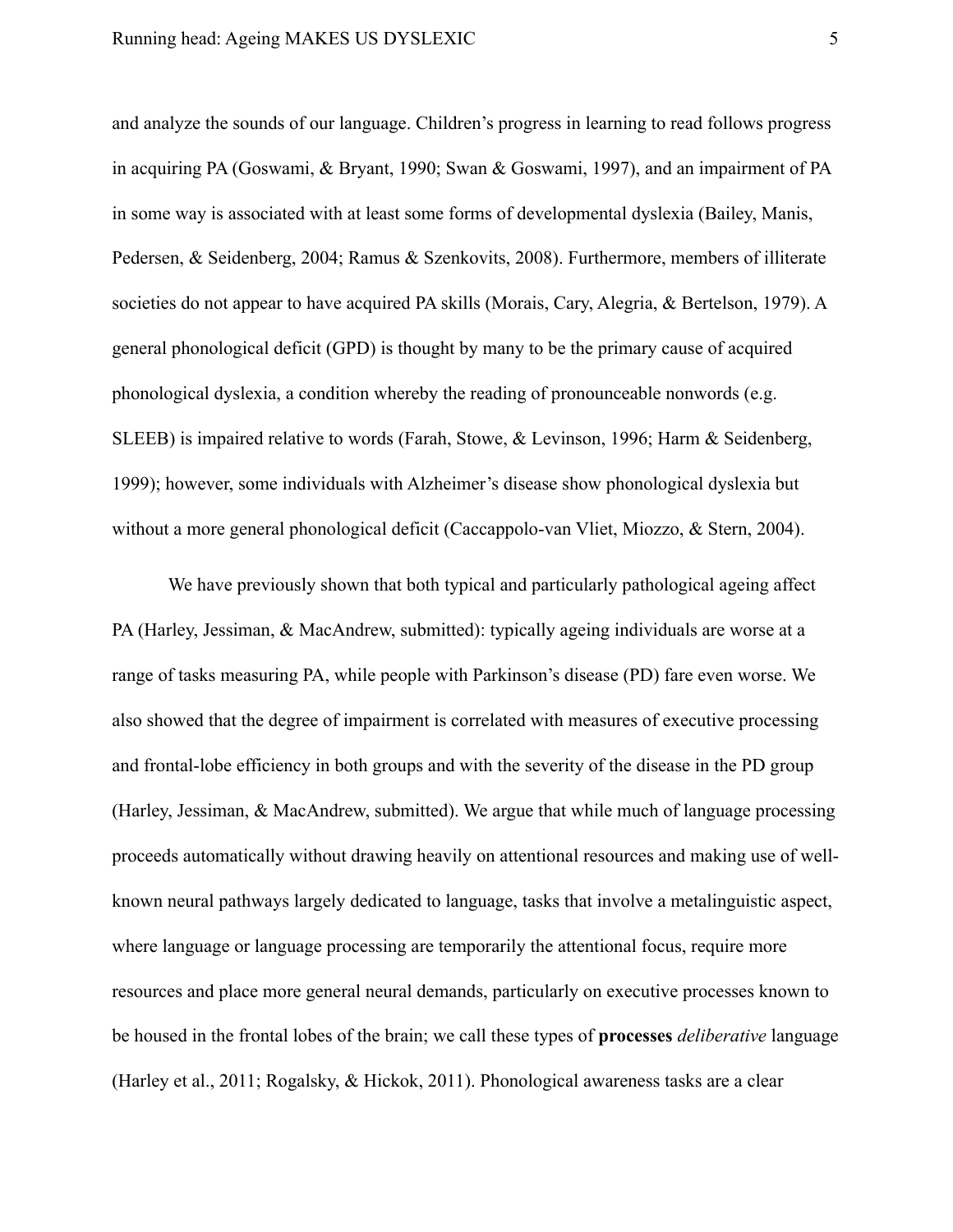and analyze the sounds of our language. Children's progress in learning to read follows progress in acquiring PA (Goswami, & Bryant, 1990; Swan & Goswami, 1997), and an impairment of PA in some way is associated with at least some forms of developmental dyslexia (Bailey, Manis, Pedersen, & Seidenberg, 2004; Ramus & Szenkovits, 2008). Furthermore, members of illiterate societies do not appear to have acquired PA skills (Morais, Cary, Alegria, & Bertelson, 1979). A general phonological deficit (GPD) is thought by many to be the primary cause of acquired phonological dyslexia, a condition whereby the reading of pronounceable nonwords (e.g. SLEEB) is impaired relative to words (Farah, Stowe, & Levinson, 1996; Harm & Seidenberg, 1999); however, some individuals with Alzheimer's disease show phonological dyslexia but without a more general phonological deficit (Caccappolo-van Vliet, Miozzo, & Stern, 2004).

We have previously shown that both typical and particularly pathological ageing affect PA (Harley, Jessiman, & MacAndrew, submitted): typically ageing individuals are worse at a range of tasks measuring PA, while people with Parkinson's disease (PD) fare even worse. We also showed that the degree of impairment is correlated with measures of executive processing and frontal-lobe efficiency in both groups and with the severity of the disease in the PD group (Harley, Jessiman, & MacAndrew, submitted). We argue that while much of language processing proceeds automatically without drawing heavily on attentional resources and making use of wellknown neural pathways largely dedicated to language, tasks that involve a metalinguistic aspect, where language or language processing are temporarily the attentional focus, require more resources and place more general neural demands, particularly on executive processes known to be housed in the frontal lobes of the brain; we call these types of **processes** *deliberative* language (Harley et al., 2011; Rogalsky, & Hickok, 2011). Phonological awareness tasks are a clear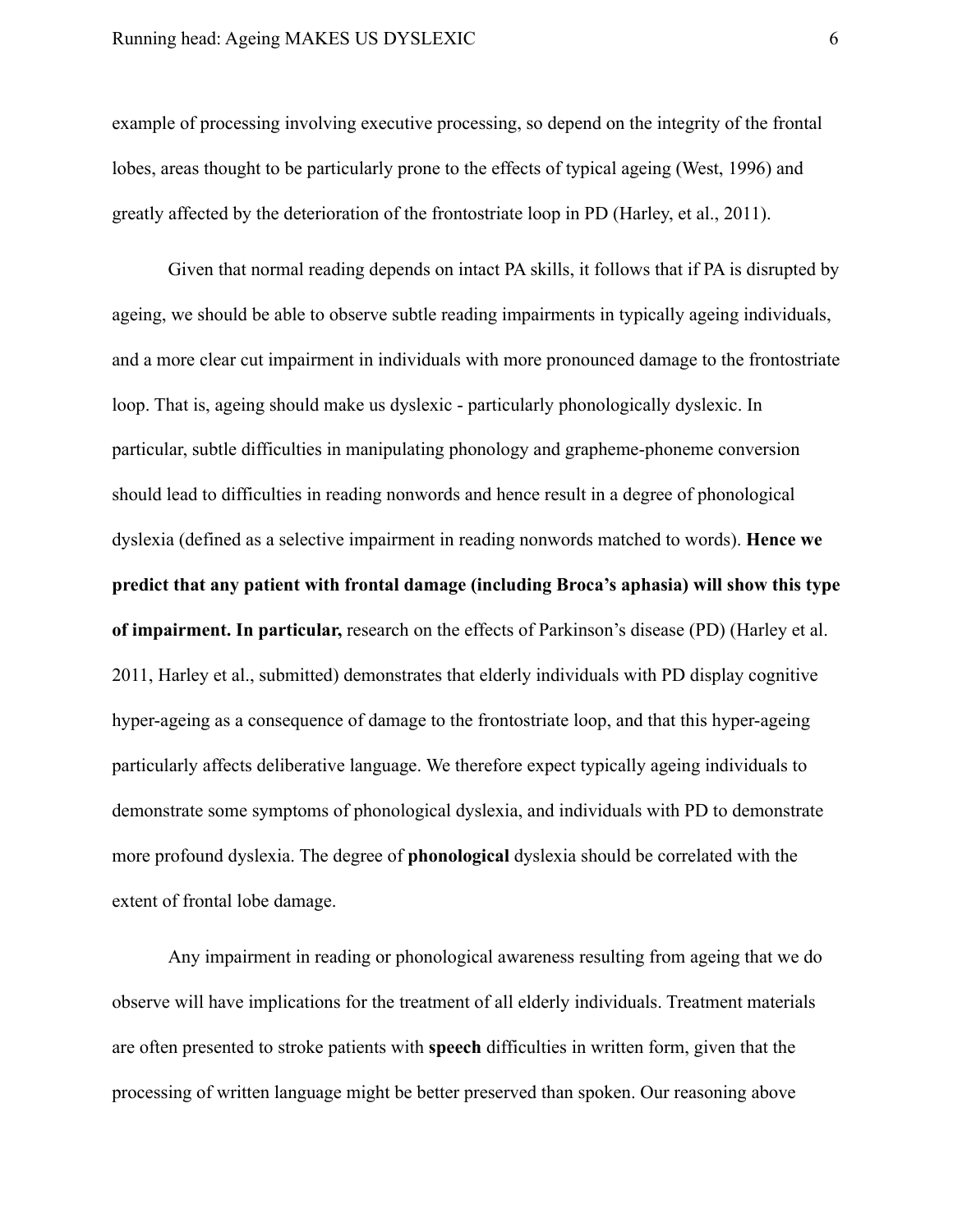example of processing involving executive processing, so depend on the integrity of the frontal lobes, areas thought to be particularly prone to the effects of typical ageing (West, 1996) and greatly affected by the deterioration of the frontostriate loop in PD (Harley, et al., 2011).

Given that normal reading depends on intact PA skills, it follows that if PA is disrupted by ageing, we should be able to observe subtle reading impairments in typically ageing individuals, and a more clear cut impairment in individuals with more pronounced damage to the frontostriate loop. That is, ageing should make us dyslexic - particularly phonologically dyslexic. In particular, subtle difficulties in manipulating phonology and grapheme-phoneme conversion should lead to difficulties in reading nonwords and hence result in a degree of phonological dyslexia (defined as a selective impairment in reading nonwords matched to words). **Hence we predict that any patient with frontal damage (including Broca's aphasia) will show this type of impairment. In particular,** research on the effects of Parkinson's disease (PD) (Harley et al. 2011, Harley et al., submitted) demonstrates that elderly individuals with PD display cognitive hyper-ageing as a consequence of damage to the frontostriate loop, and that this hyper-ageing particularly affects deliberative language. We therefore expect typically ageing individuals to demonstrate some symptoms of phonological dyslexia, and individuals with PD to demonstrate more profound dyslexia. The degree of **phonological** dyslexia should be correlated with the extent of frontal lobe damage.

Any impairment in reading or phonological awareness resulting from ageing that we do observe will have implications for the treatment of all elderly individuals. Treatment materials are often presented to stroke patients with **speech** difficulties in written form, given that the processing of written language might be better preserved than spoken. Our reasoning above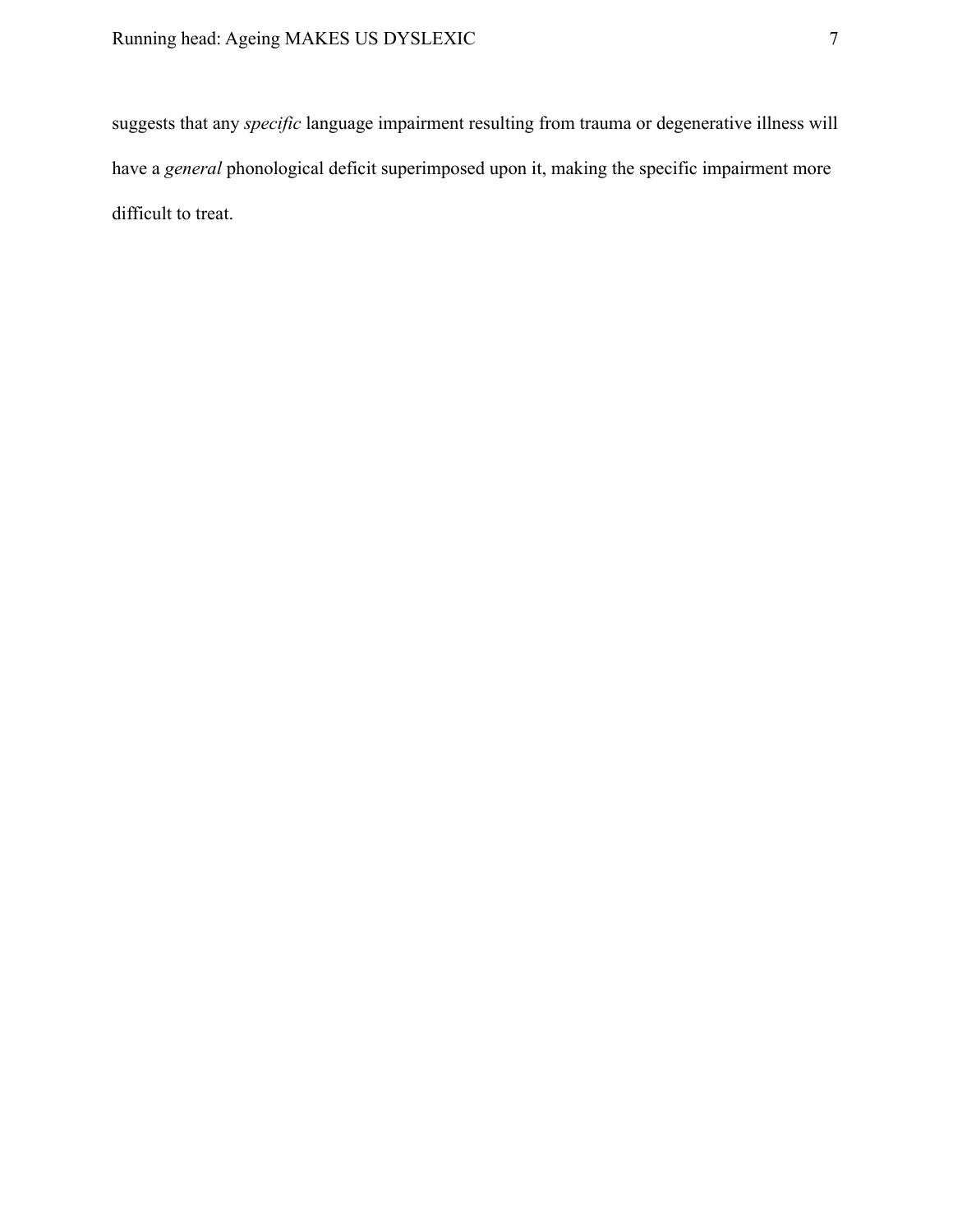suggests that any *specific* language impairment resulting from trauma or degenerative illness will have a *general* phonological deficit superimposed upon it, making the specific impairment more difficult to treat.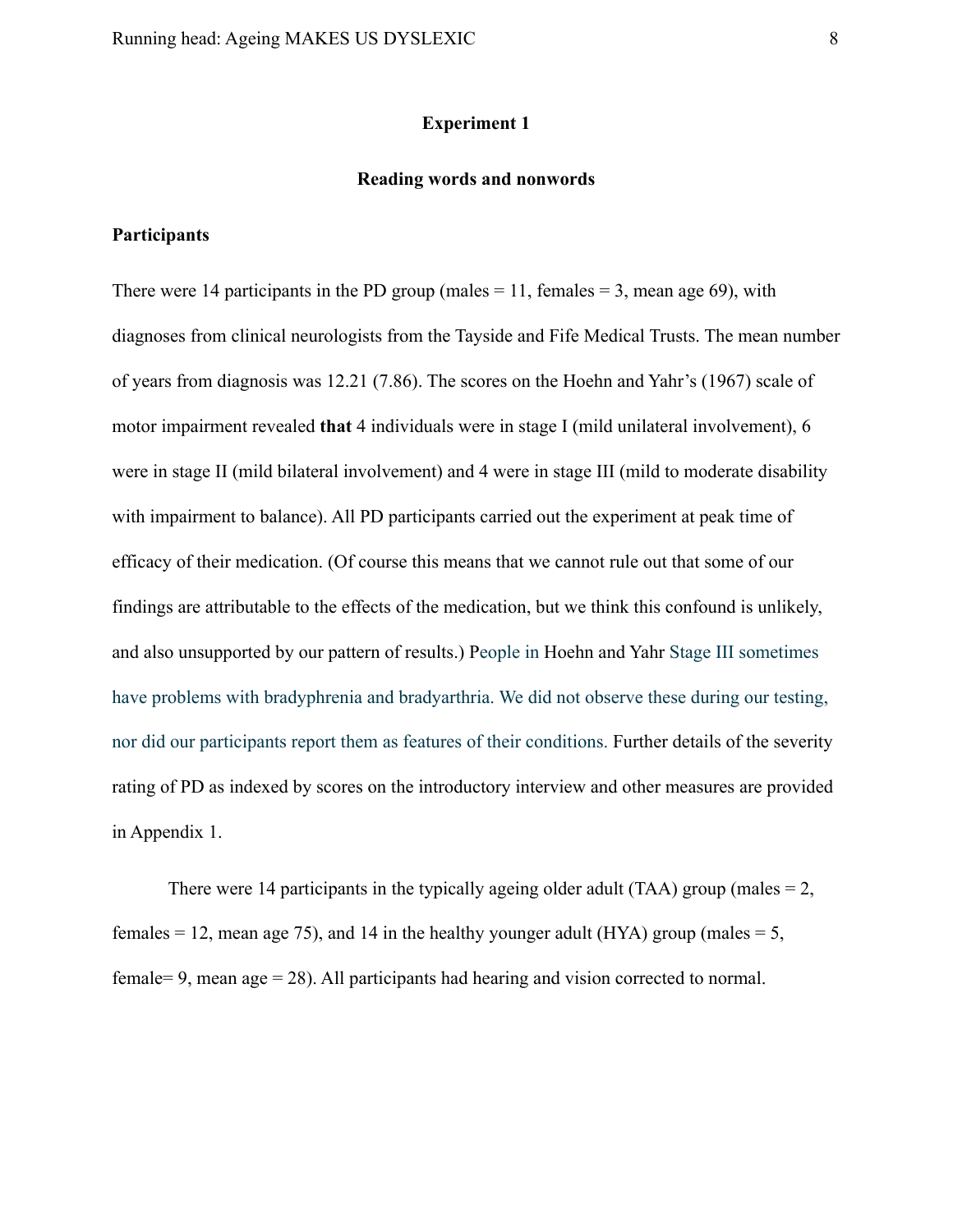# **Experiment 1**

### **Reading words and nonwords**

# **Participants**

There were 14 participants in the PD group (males  $= 11$ , females  $= 3$ , mean age 69), with diagnoses from clinical neurologists from the Tayside and Fife Medical Trusts. The mean number of years from diagnosis was 12.21 (7.86). The scores on the Hoehn and Yahr's (1967) scale of motor impairment revealed **that** 4 individuals were in stage I (mild unilateral involvement), 6 were in stage II (mild bilateral involvement) and 4 were in stage III (mild to moderate disability with impairment to balance). All PD participants carried out the experiment at peak time of efficacy of their medication. (Of course this means that we cannot rule out that some of our findings are attributable to the effects of the medication, but we think this confound is unlikely, and also unsupported by our pattern of results.) People in Hoehn and Yahr Stage III sometimes have problems with bradyphrenia and bradyarthria. We did not observe these during our testing, nor did our participants report them as features of their conditions. Further details of the severity rating of PD as indexed by scores on the introductory interview and other measures are provided in Appendix 1.

There were 14 participants in the typically ageing older adult (TAA) group (males  $= 2$ , females = 12, mean age 75), and 14 in the healthy younger adult (HYA) group (males = 5, female= 9, mean age = 28). All participants had hearing and vision corrected to normal.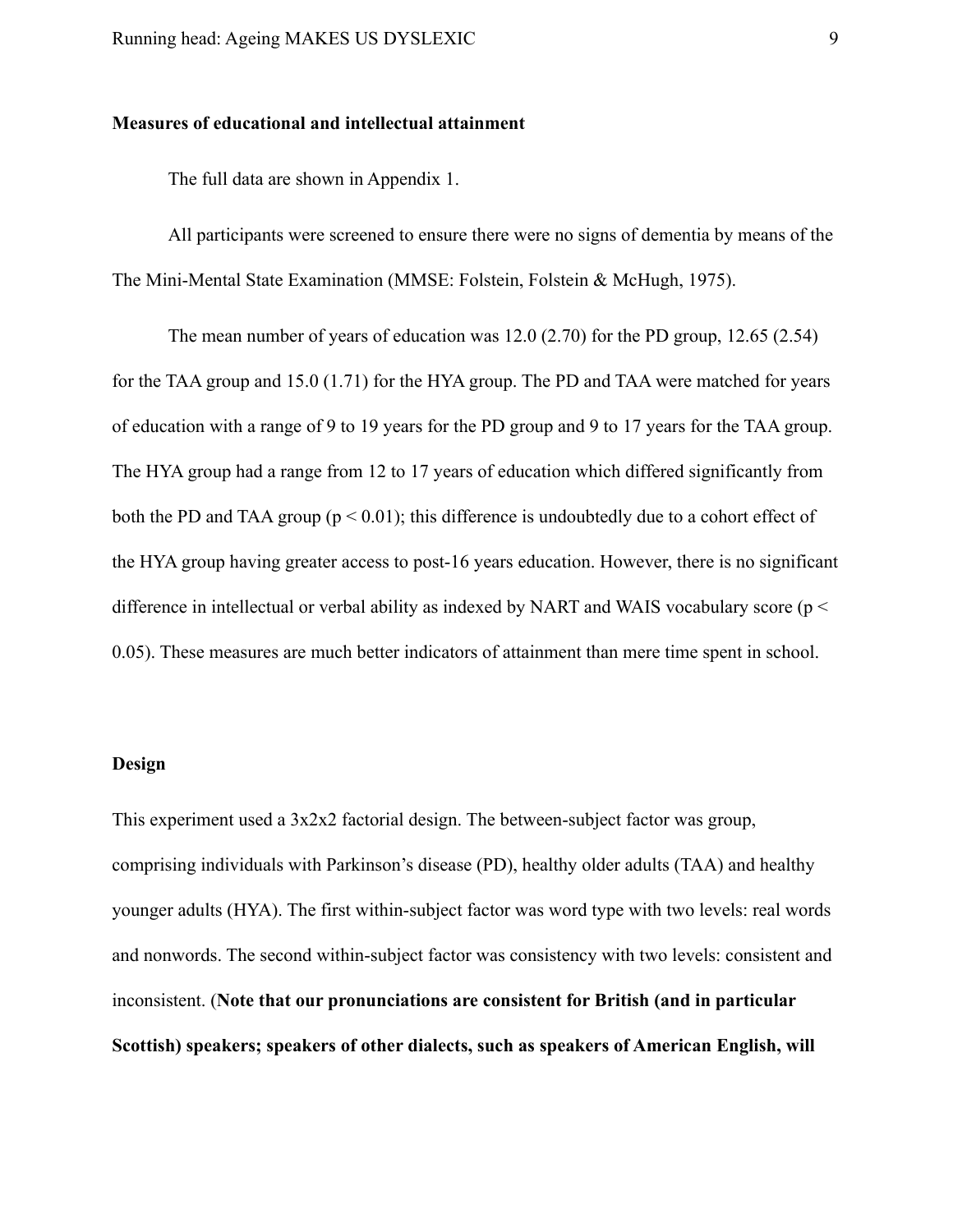# **Measures of educational and intellectual attainment**

The full data are shown in Appendix 1.

All participants were screened to ensure there were no signs of dementia by means of the The Mini-Mental State Examination (MMSE: Folstein, Folstein & McHugh, 1975).

The mean number of years of education was 12.0 (2.70) for the PD group, 12.65 (2.54) for the TAA group and 15.0 (1.71) for the HYA group. The PD and TAA were matched for years of education with a range of 9 to 19 years for the PD group and 9 to 17 years for the TAA group. The HYA group had a range from 12 to 17 years of education which differed significantly from both the PD and TAA group ( $p < 0.01$ ); this difference is undoubtedly due to a cohort effect of the HYA group having greater access to post-16 years education. However, there is no significant difference in intellectual or verbal ability as indexed by NART and WAIS vocabulary score (p < 0.05). These measures are much better indicators of attainment than mere time spent in school.

### **Design**

This experiment used a 3x2x2 factorial design. The between-subject factor was group, comprising individuals with Parkinson's disease (PD), healthy older adults (TAA) and healthy younger adults (HYA). The first within-subject factor was word type with two levels: real words and nonwords. The second within-subject factor was consistency with two levels: consistent and inconsistent. (**Note that our pronunciations are consistent for British (and in particular Scottish) speakers; speakers of other dialects, such as speakers of American English, will**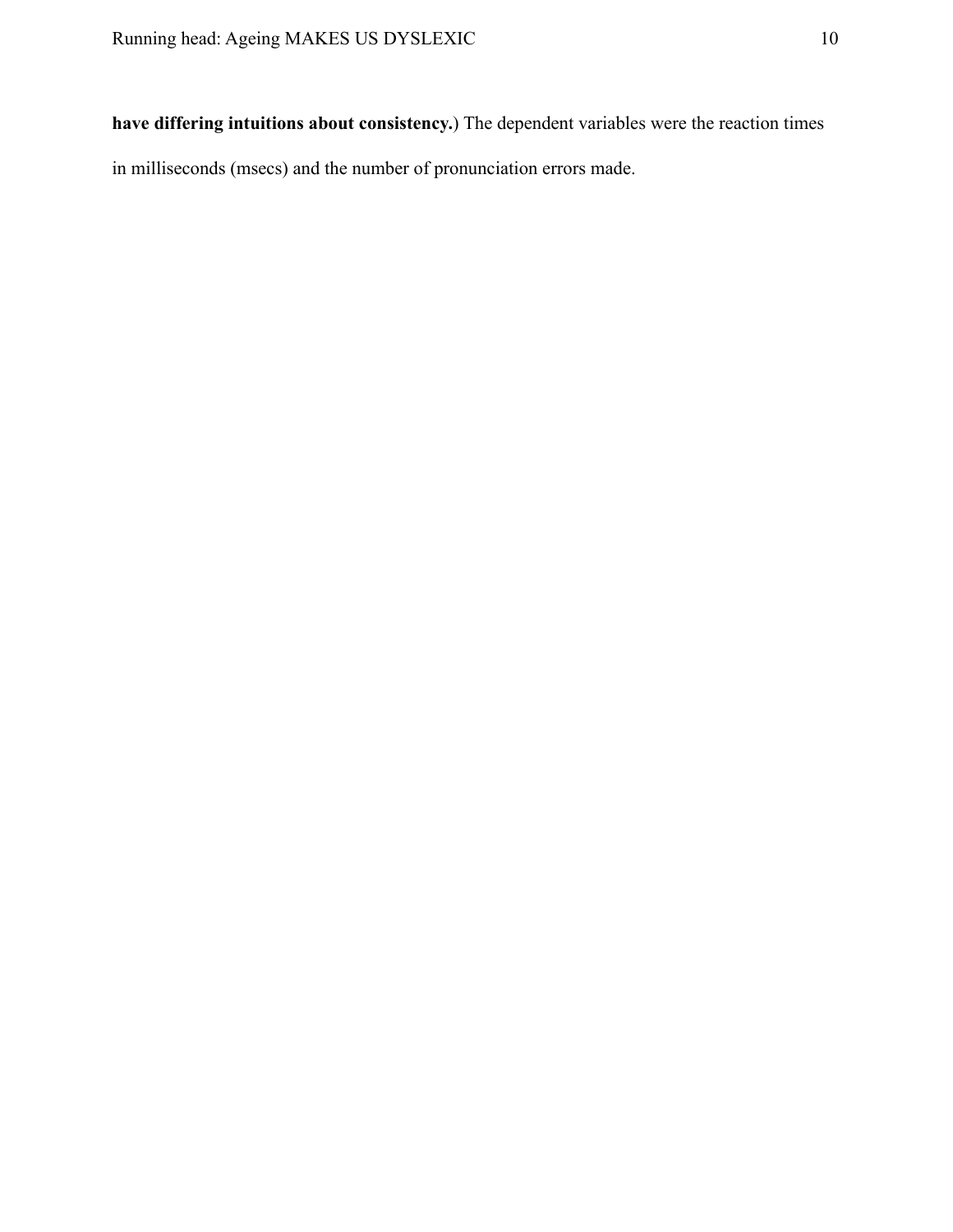**have differing intuitions about consistency.**) The dependent variables were the reaction times in milliseconds (msecs) and the number of pronunciation errors made.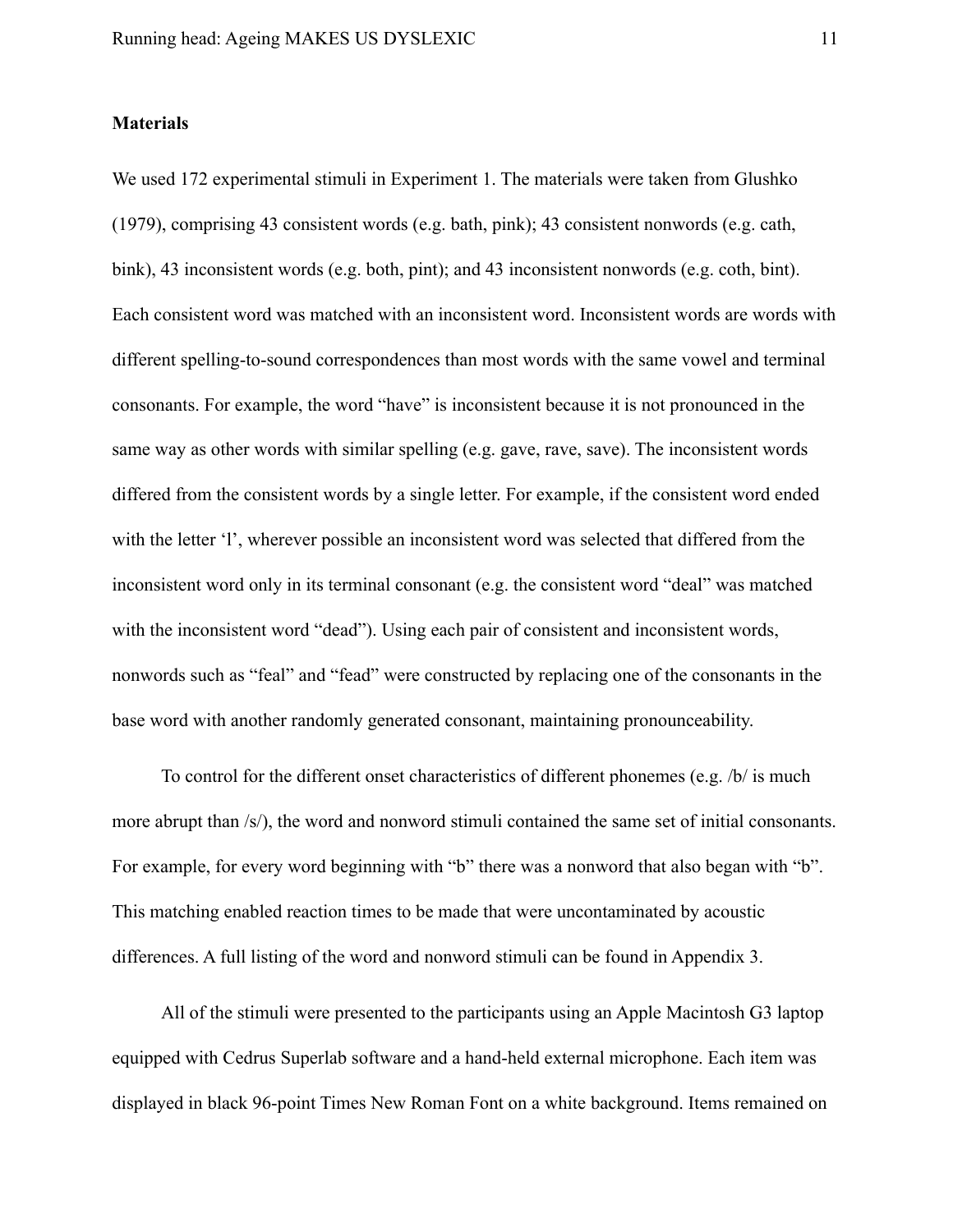# **Materials**

We used 172 experimental stimuli in Experiment 1. The materials were taken from Glushko (1979), comprising 43 consistent words (e.g. bath, pink); 43 consistent nonwords (e.g. cath, bink), 43 inconsistent words (e.g. both, pint); and 43 inconsistent nonwords (e.g. coth, bint). Each consistent word was matched with an inconsistent word. Inconsistent words are words with different spelling-to-sound correspondences than most words with the same vowel and terminal consonants. For example, the word "have" is inconsistent because it is not pronounced in the same way as other words with similar spelling (e.g. gave, rave, save). The inconsistent words differed from the consistent words by a single letter. For example, if the consistent word ended with the letter 'l', wherever possible an inconsistent word was selected that differed from the inconsistent word only in its terminal consonant (e.g. the consistent word "deal" was matched with the inconsistent word "dead"). Using each pair of consistent and inconsistent words, nonwords such as "feal" and "fead" were constructed by replacing one of the consonants in the base word with another randomly generated consonant, maintaining pronounceability.

To control for the different onset characteristics of different phonemes (e.g.  $/b/$  is much more abrupt than /s/), the word and nonword stimuli contained the same set of initial consonants. For example, for every word beginning with "b" there was a nonword that also began with "b". This matching enabled reaction times to be made that were uncontaminated by acoustic differences. A full listing of the word and nonword stimuli can be found in Appendix 3.

All of the stimuli were presented to the participants using an Apple Macintosh G3 laptop equipped with Cedrus Superlab software and a hand-held external microphone. Each item was displayed in black 96-point Times New Roman Font on a white background. Items remained on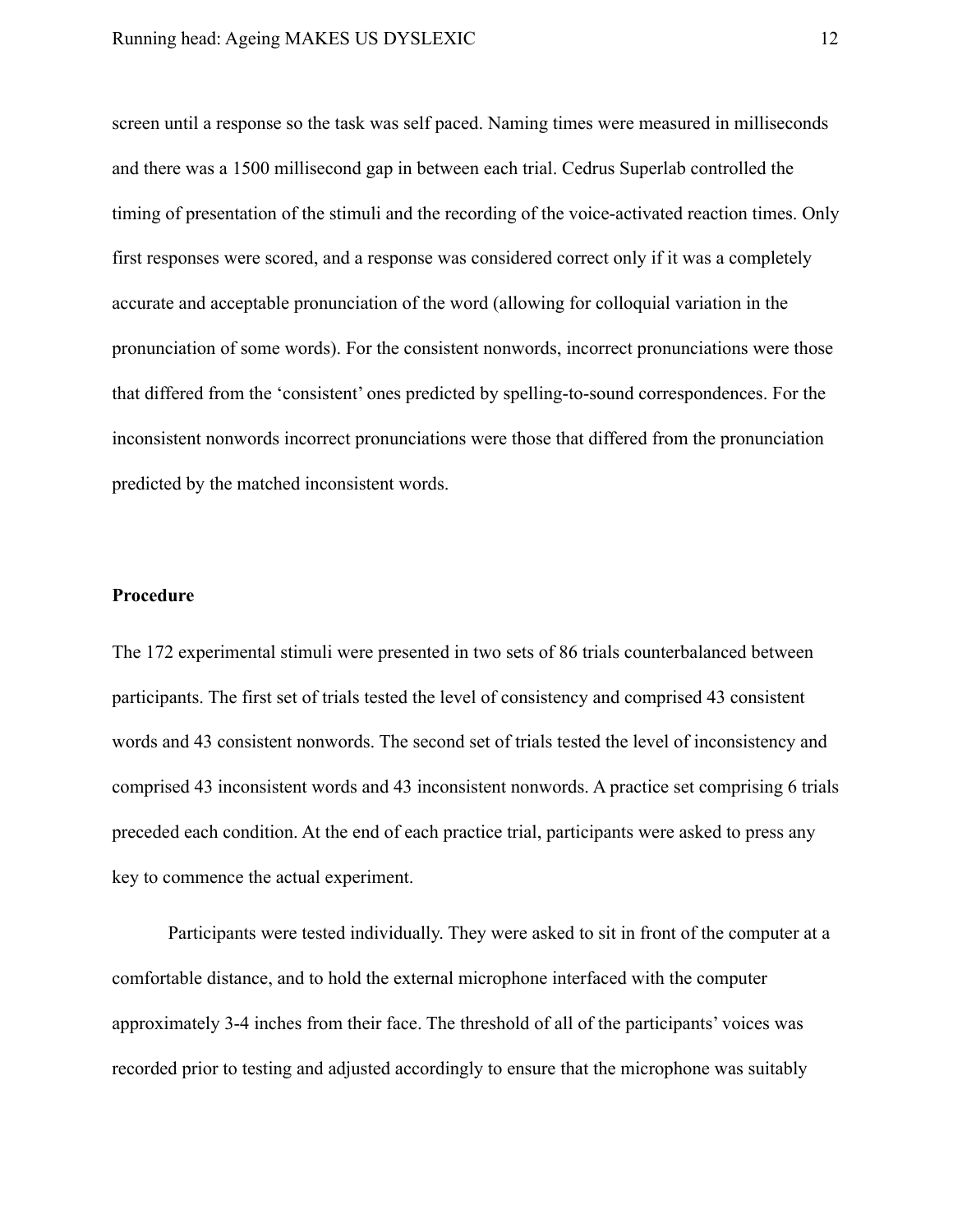screen until a response so the task was self paced. Naming times were measured in milliseconds and there was a 1500 millisecond gap in between each trial. Cedrus Superlab controlled the timing of presentation of the stimuli and the recording of the voice-activated reaction times. Only first responses were scored, and a response was considered correct only if it was a completely accurate and acceptable pronunciation of the word (allowing for colloquial variation in the pronunciation of some words). For the consistent nonwords, incorrect pronunciations were those that differed from the 'consistent' ones predicted by spelling-to-sound correspondences. For the inconsistent nonwords incorrect pronunciations were those that differed from the pronunciation predicted by the matched inconsistent words.

# **Procedure**

The 172 experimental stimuli were presented in two sets of 86 trials counterbalanced between participants. The first set of trials tested the level of consistency and comprised 43 consistent words and 43 consistent nonwords. The second set of trials tested the level of inconsistency and comprised 43 inconsistent words and 43 inconsistent nonwords. A practice set comprising 6 trials preceded each condition. At the end of each practice trial, participants were asked to press any key to commence the actual experiment.

Participants were tested individually. They were asked to sit in front of the computer at a comfortable distance, and to hold the external microphone interfaced with the computer approximately 3-4 inches from their face. The threshold of all of the participants' voices was recorded prior to testing and adjusted accordingly to ensure that the microphone was suitably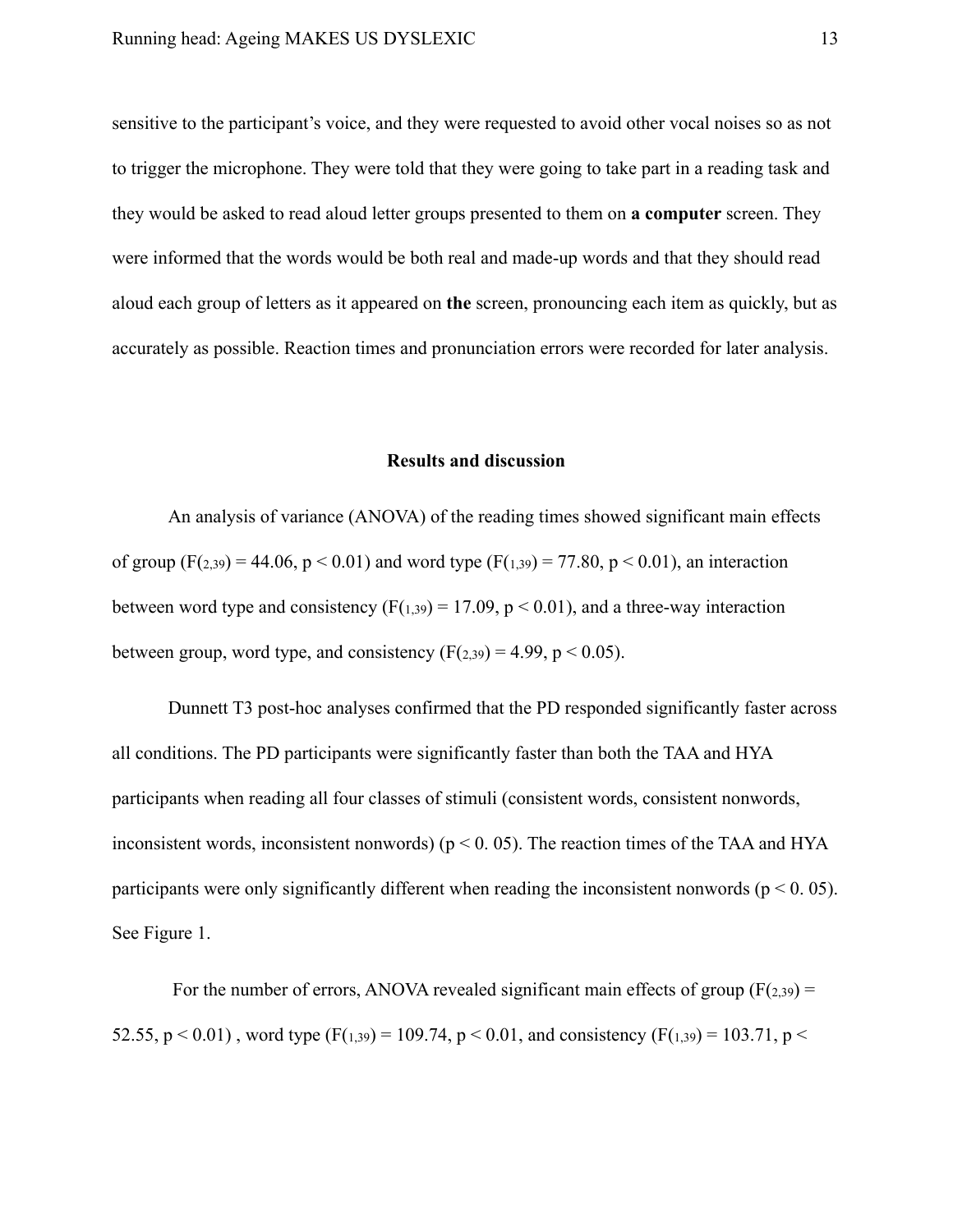sensitive to the participant's voice, and they were requested to avoid other vocal noises so as not to trigger the microphone. They were told that they were going to take part in a reading task and they would be asked to read aloud letter groups presented to them on **a computer** screen. They were informed that the words would be both real and made-up words and that they should read aloud each group of letters as it appeared on **the** screen, pronouncing each item as quickly, but as accurately as possible. Reaction times and pronunciation errors were recorded for later analysis.

#### **Results and discussion**

An analysis of variance (ANOVA) of the reading times showed significant main effects of group  $(F(2,39) = 44.06, p < 0.01)$  and word type  $(F(1,39) = 77.80, p < 0.01)$ , an interaction between word type and consistency  $(F(1,39) = 17.09, p < 0.01)$ , and a three-way interaction between group, word type, and consistency  $(F(2,39) = 4.99, p \le 0.05)$ .

Dunnett T3 post-hoc analyses confirmed that the PD responded significantly faster across all conditions. The PD participants were significantly faster than both the TAA and HYA participants when reading all four classes of stimuli (consistent words, consistent nonwords, inconsistent words, inconsistent nonwords) ( $p < 0$ . 05). The reaction times of the TAA and HYA participants were only significantly different when reading the inconsistent nonwords ( $p < 0.05$ ). See Figure 1.

For the number of errors, ANOVA revealed significant main effects of group  $(F(z_39) =$ 52.55,  $p < 0.01$ ), word type (F(1,39) = 109.74,  $p < 0.01$ , and consistency (F(1,39) = 103.71,  $p <$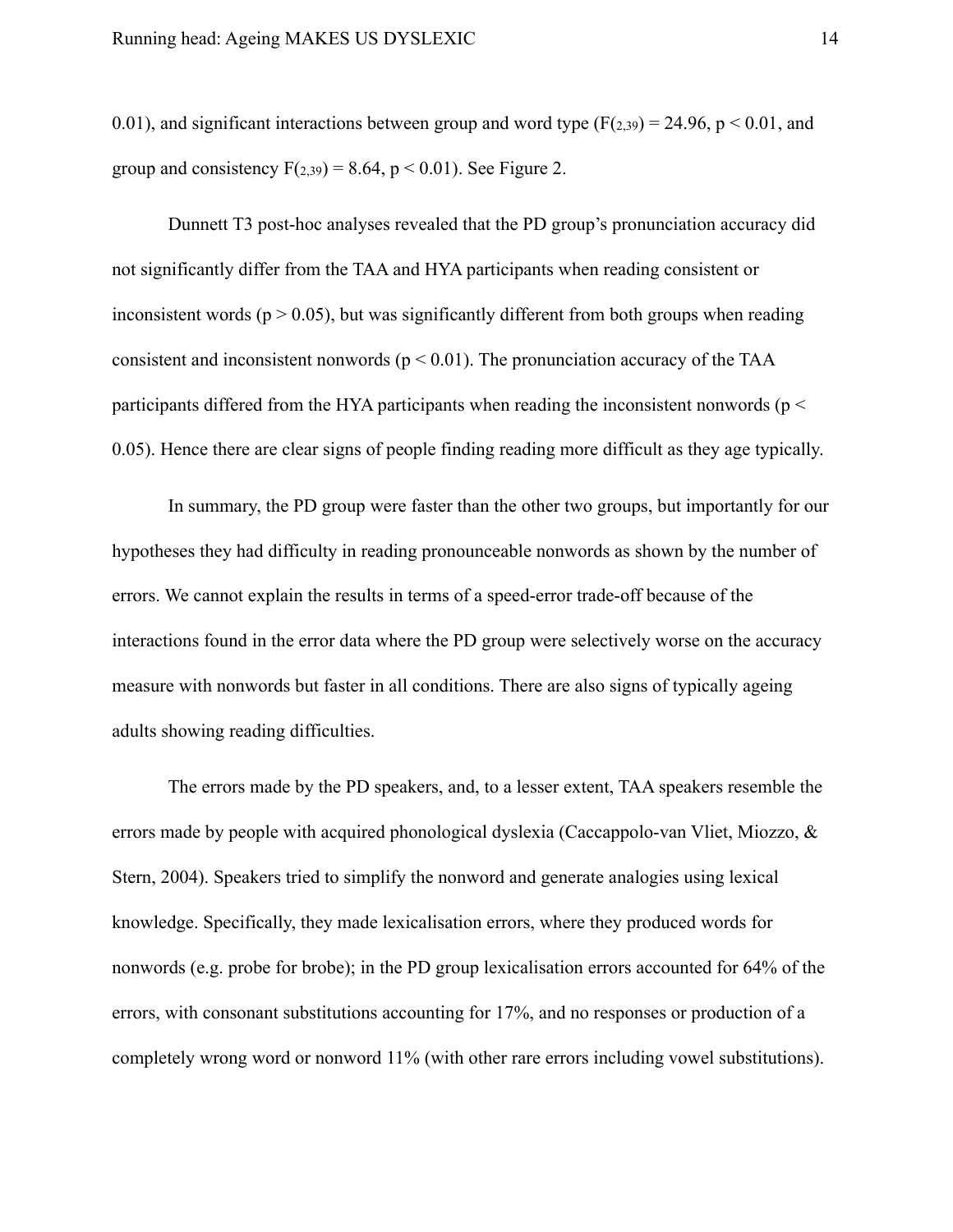0.01), and significant interactions between group and word type  $(F(2,39) = 24.96, p \le 0.01,$  and group and consistency  $F(2,39) = 8.64$ ,  $p < 0.01$ ). See Figure 2.

Dunnett T3 post-hoc analyses revealed that the PD group's pronunciation accuracy did not significantly differ from the TAA and HYA participants when reading consistent or inconsistent words ( $p > 0.05$ ), but was significantly different from both groups when reading consistent and inconsistent nonwords ( $p < 0.01$ ). The pronunciation accuracy of the TAA participants differed from the HYA participants when reading the inconsistent nonwords ( $p <$ 0.05). Hence there are clear signs of people finding reading more difficult as they age typically.

In summary, the PD group were faster than the other two groups, but importantly for our hypotheses they had difficulty in reading pronounceable nonwords as shown by the number of errors. We cannot explain the results in terms of a speed-error trade-off because of the interactions found in the error data where the PD group were selectively worse on the accuracy measure with nonwords but faster in all conditions. There are also signs of typically ageing adults showing reading difficulties.

The errors made by the PD speakers, and, to a lesser extent, TAA speakers resemble the errors made by people with acquired phonological dyslexia (Caccappolo-van Vliet, Miozzo, & Stern, 2004). Speakers tried to simplify the nonword and generate analogies using lexical knowledge. Specifically, they made lexicalisation errors, where they produced words for nonwords (e.g. probe for brobe); in the PD group lexicalisation errors accounted for 64% of the errors, with consonant substitutions accounting for 17%, and no responses or production of a completely wrong word or nonword 11% (with other rare errors including vowel substitutions).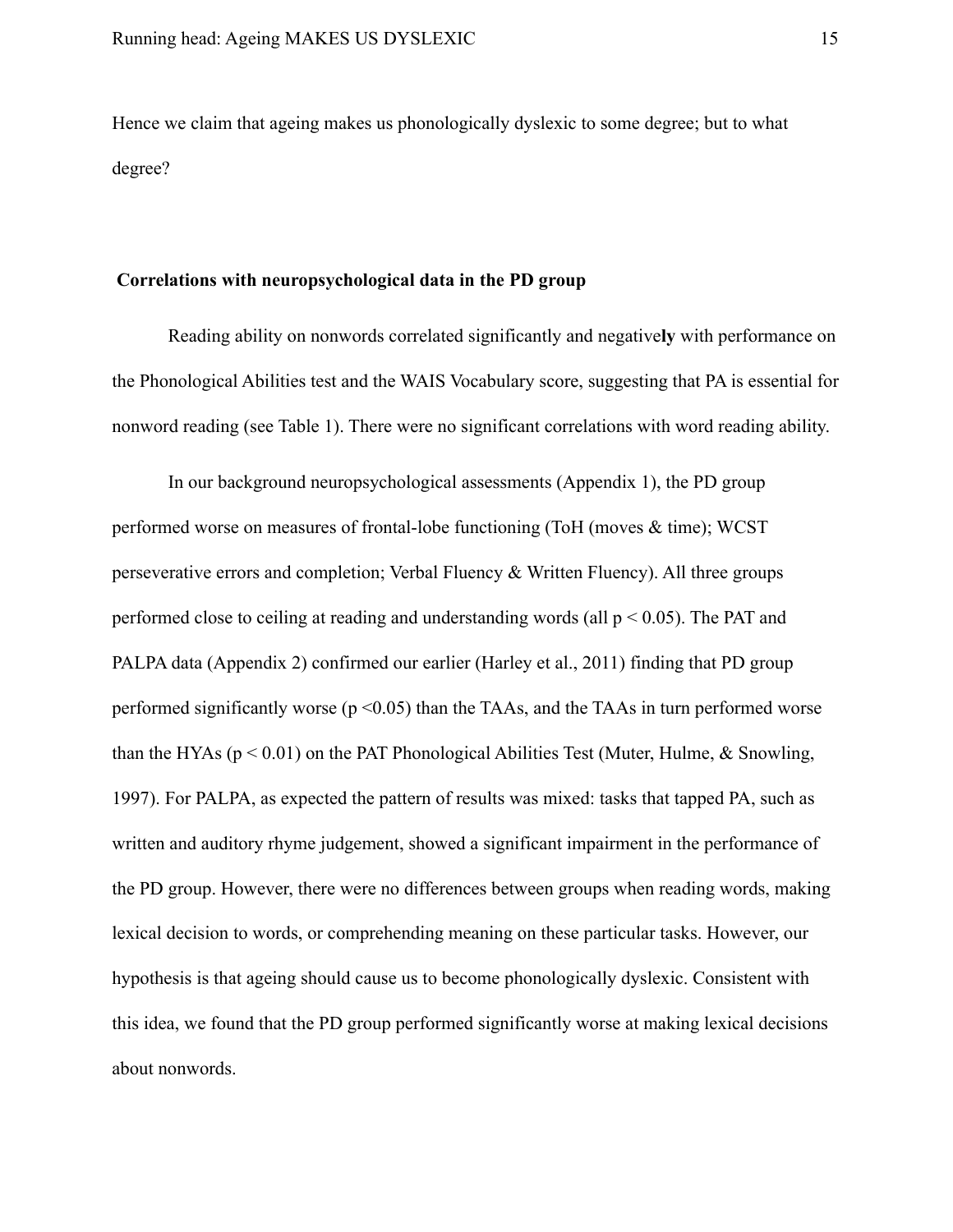Hence we claim that ageing makes us phonologically dyslexic to some degree; but to what degree?

#### **Correlations with neuropsychological data in the PD group**

Reading ability on nonwords correlated significantly and negative**ly** with performance on the Phonological Abilities test and the WAIS Vocabulary score, suggesting that PA is essential for nonword reading (see Table 1). There were no significant correlations with word reading ability.

In our background neuropsychological assessments (Appendix 1), the PD group performed worse on measures of frontal-lobe functioning (ToH (moves & time); WCST perseverative errors and completion; Verbal Fluency & Written Fluency). All three groups performed close to ceiling at reading and understanding words (all  $p < 0.05$ ). The PAT and PALPA data (Appendix 2) confirmed our earlier (Harley et al., 2011) finding that PD group performed significantly worse ( $p \le 0.05$ ) than the TAAs, and the TAAs in turn performed worse than the HYAs ( $p < 0.01$ ) on the PAT Phonological Abilities Test (Muter, Hulme, & Snowling, 1997). For PALPA, as expected the pattern of results was mixed: tasks that tapped PA, such as written and auditory rhyme judgement, showed a significant impairment in the performance of the PD group. However, there were no differences between groups when reading words, making lexical decision to words, or comprehending meaning on these particular tasks. However, our hypothesis is that ageing should cause us to become phonologically dyslexic. Consistent with this idea, we found that the PD group performed significantly worse at making lexical decisions about nonwords.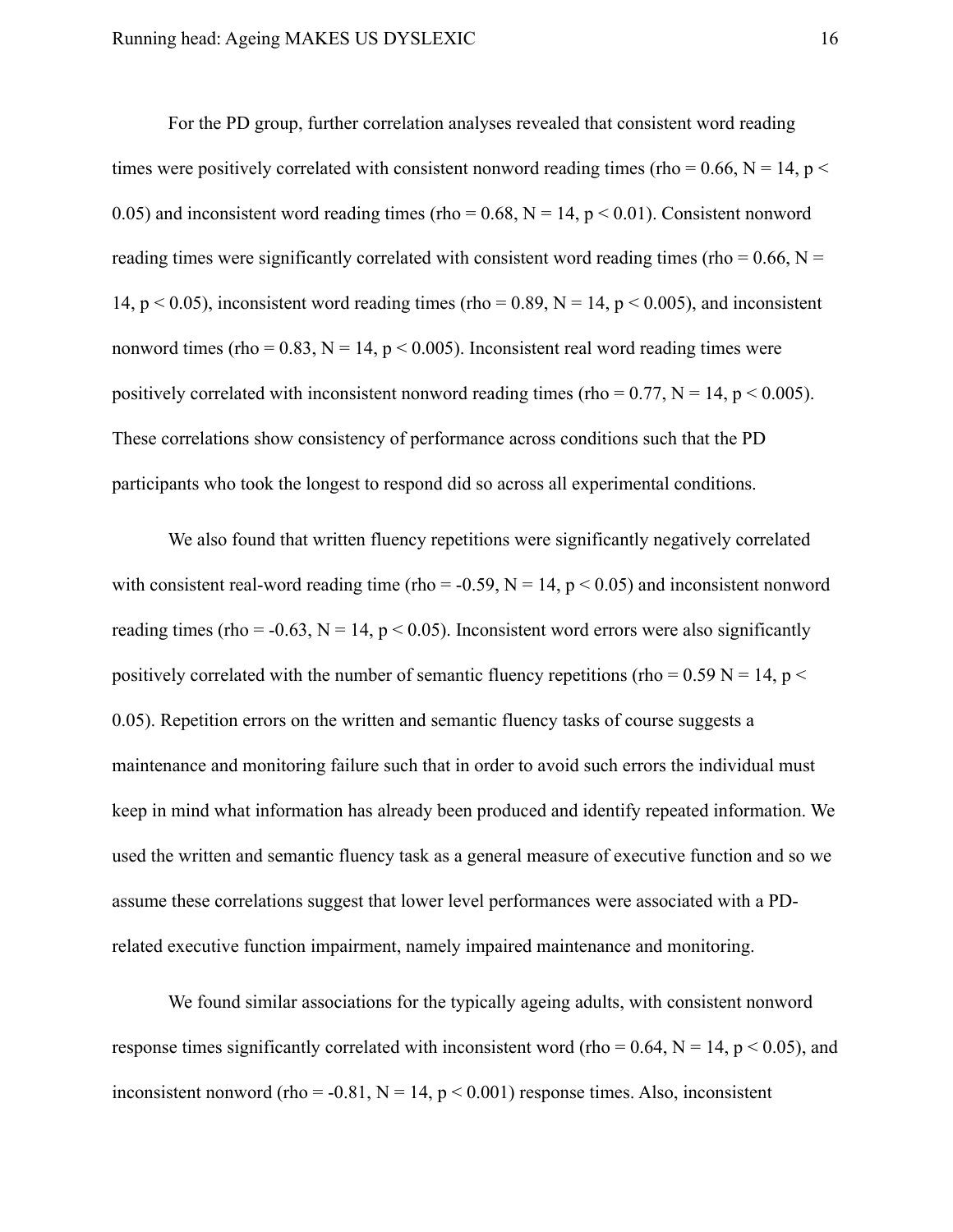For the PD group, further correlation analyses revealed that consistent word reading times were positively correlated with consistent nonword reading times (rho = 0.66, N = 14, p < 0.05) and inconsistent word reading times (rho =  $0.68$ , N = 14, p < 0.01). Consistent nonword reading times were significantly correlated with consistent word reading times (rho =  $0.66$ , N = 14,  $p < 0.05$ ), inconsistent word reading times (rho = 0.89, N = 14, p < 0.005), and inconsistent nonword times (rho =  $0.83$ , N = 14, p < 0.005). Inconsistent real word reading times were positively correlated with inconsistent nonword reading times (rho =  $0.77$ , N = 14, p <  $0.005$ ). These correlations show consistency of performance across conditions such that the PD participants who took the longest to respond did so across all experimental conditions.

We also found that written fluency repetitions were significantly negatively correlated with consistent real-word reading time (rho = -0.59,  $N = 14$ ,  $p < 0.05$ ) and inconsistent nonword reading times (rho = -0.63, N = 14, p < 0.05). Inconsistent word errors were also significantly positively correlated with the number of semantic fluency repetitions (rho =  $0.59$  N = 14, p < 0.05). Repetition errors on the written and semantic fluency tasks of course suggests a maintenance and monitoring failure such that in order to avoid such errors the individual must keep in mind what information has already been produced and identify repeated information. We used the written and semantic fluency task as a general measure of executive function and so we assume these correlations suggest that lower level performances were associated with a PDrelated executive function impairment, namely impaired maintenance and monitoring.

We found similar associations for the typically ageing adults, with consistent nonword response times significantly correlated with inconsistent word (rho =  $0.64$ , N = 14, p < 0.05), and inconsistent nonword (rho = -0.81,  $N = 14$ ,  $p < 0.001$ ) response times. Also, inconsistent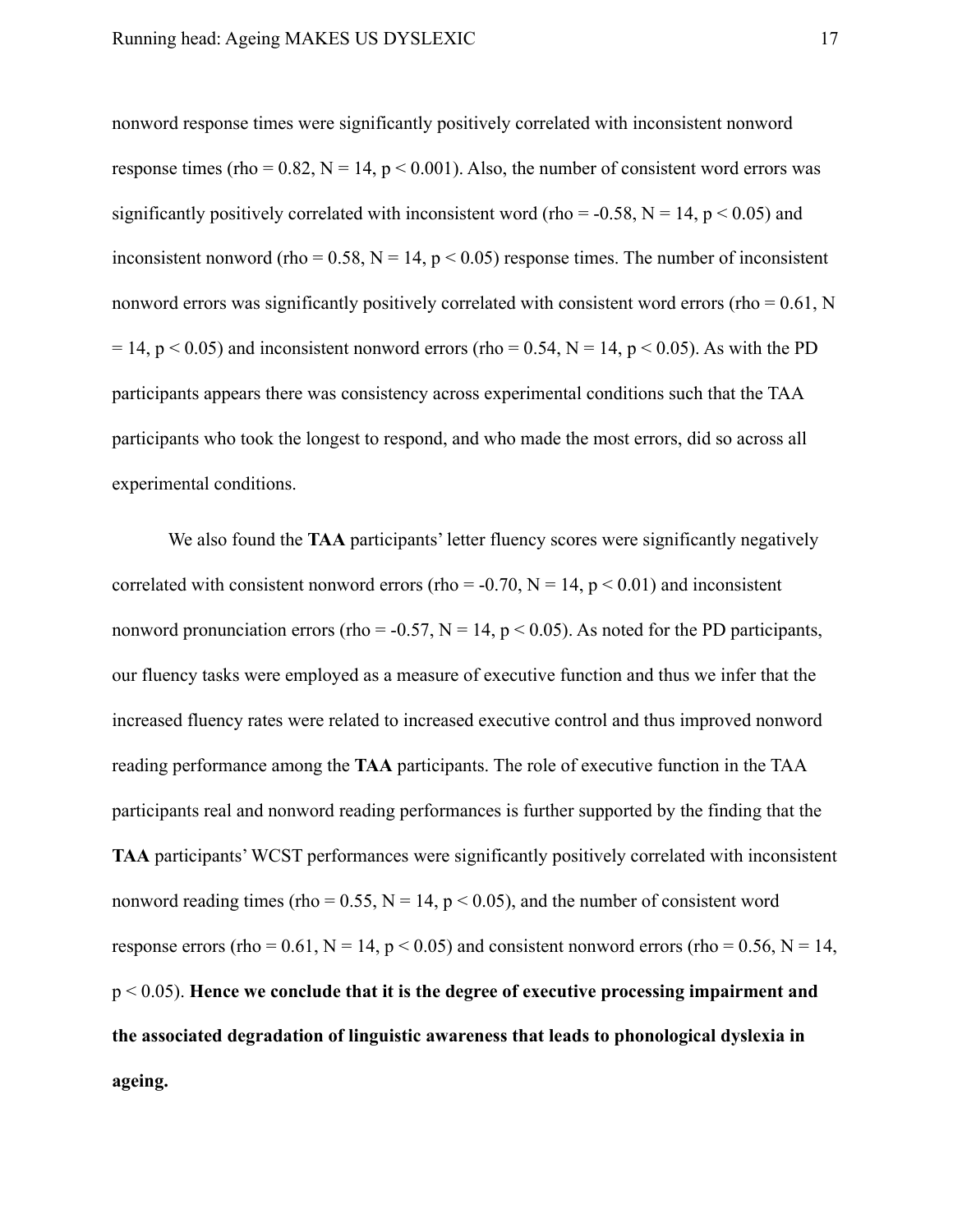nonword response times were significantly positively correlated with inconsistent nonword response times (rho =  $0.82$ , N = 14, p <  $0.001$ ). Also, the number of consistent word errors was significantly positively correlated with inconsistent word (rho = -0.58,  $N = 14$ ,  $p < 0.05$ ) and inconsistent nonword (rho =  $0.58$ , N = 14, p < 0.05) response times. The number of inconsistent nonword errors was significantly positively correlated with consistent word errors (rho  $= 0.61$ , N  $= 14$ , p < 0.05) and inconsistent nonword errors (rho = 0.54, N = 14, p < 0.05). As with the PD participants appears there was consistency across experimental conditions such that the TAA participants who took the longest to respond, and who made the most errors, did so across all experimental conditions.

We also found the **TAA** participants' letter fluency scores were significantly negatively correlated with consistent nonword errors (rho = -0.70,  $N = 14$ ,  $p < 0.01$ ) and inconsistent nonword pronunciation errors (rho = -0.57,  $N = 14$ ,  $p < 0.05$ ). As noted for the PD participants, our fluency tasks were employed as a measure of executive function and thus we infer that the increased fluency rates were related to increased executive control and thus improved nonword reading performance among the **TAA** participants. The role of executive function in the TAA participants real and nonword reading performances is further supported by the finding that the **TAA** participants' WCST performances were significantly positively correlated with inconsistent nonword reading times (rho =  $0.55$ , N = 14, p <  $0.05$ ), and the number of consistent word response errors (rho =  $0.61$ , N = 14, p < 0.05) and consistent nonword errors (rho =  $0.56$ , N = 14, p < 0.05). **Hence we conclude that it is the degree of executive processing impairment and the associated degradation of linguistic awareness that leads to phonological dyslexia in ageing.**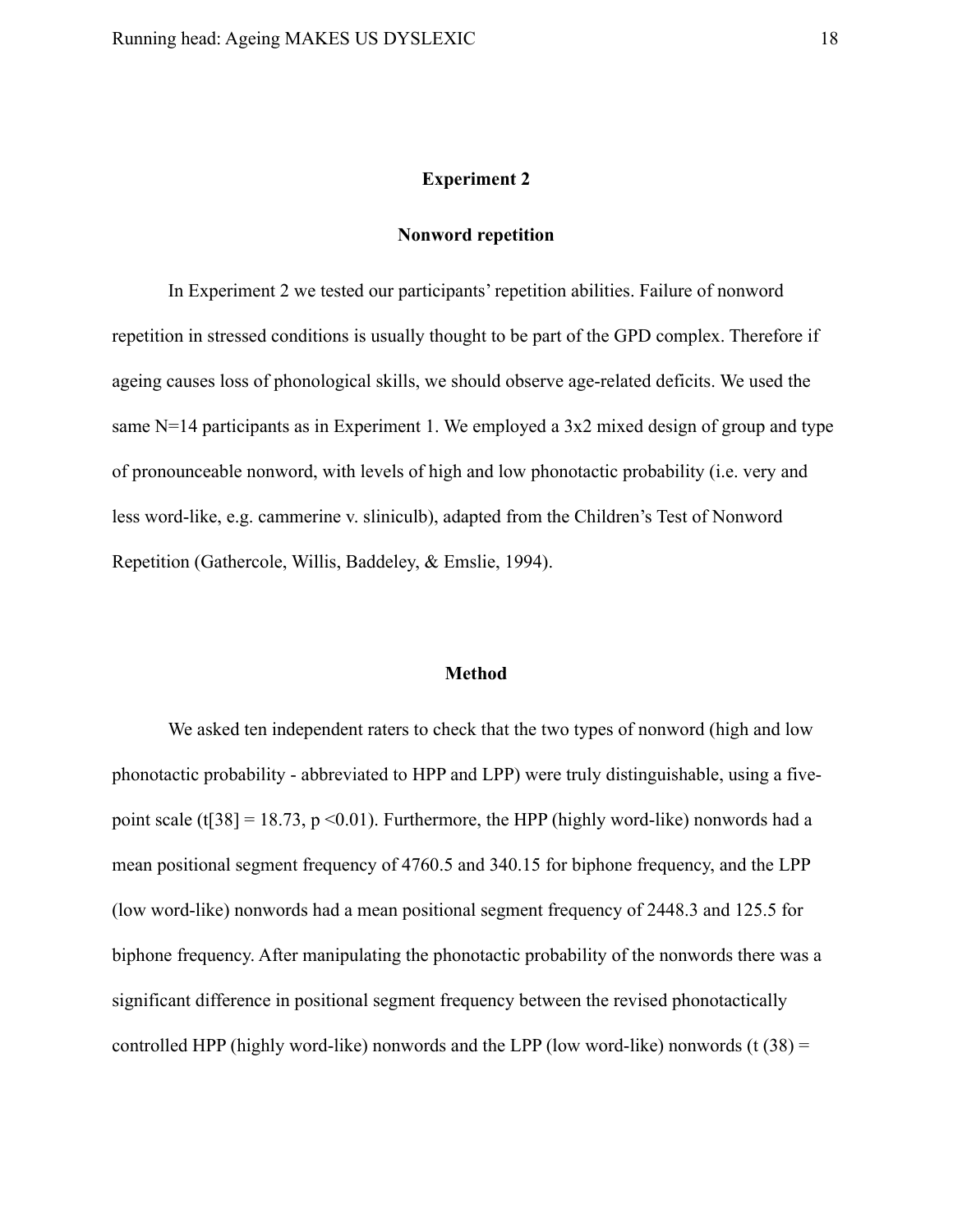#### **Experiment 2**

#### **Nonword repetition**

In Experiment 2 we tested our participants' repetition abilities. Failure of nonword repetition in stressed conditions is usually thought to be part of the GPD complex. Therefore if ageing causes loss of phonological skills, we should observe age-related deficits. We used the same N=14 participants as in Experiment 1. We employed a 3x2 mixed design of group and type of pronounceable nonword, with levels of high and low phonotactic probability (i.e. very and less word-like, e.g. cammerine v. sliniculb), adapted from the Children's Test of Nonword Repetition (Gathercole, Willis, Baddeley, & Emslie, 1994).

#### **Method**

We asked ten independent raters to check that the two types of nonword (high and low phonotactic probability - abbreviated to HPP and LPP) were truly distinguishable, using a fivepoint scale (t[38] = 18.73, p < 0.01). Furthermore, the HPP (highly word-like) nonwords had a mean positional segment frequency of 4760.5 and 340.15 for biphone frequency, and the LPP (low word-like) nonwords had a mean positional segment frequency of 2448.3 and 125.5 for biphone frequency. After manipulating the phonotactic probability of the nonwords there was a significant difference in positional segment frequency between the revised phonotactically controlled HPP (highly word-like) nonwords and the LPP (low word-like) nonwords (t  $(38)$  =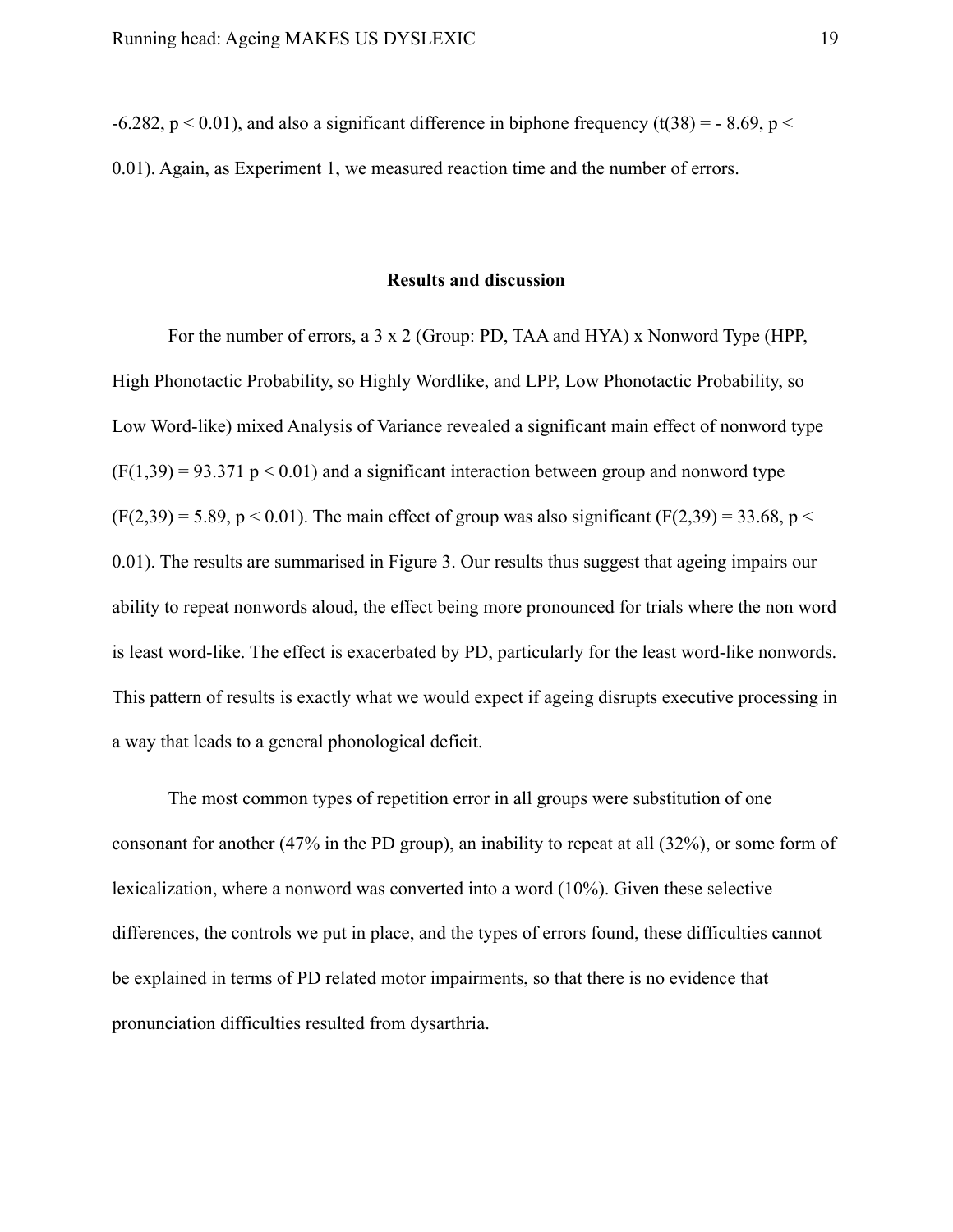-6.282,  $p < 0.01$ ), and also a significant difference in biphone frequency (t(38) = -8.69, p < 0.01). Again, as Experiment 1, we measured reaction time and the number of errors.

#### **Results and discussion**

For the number of errors, a 3 x 2 (Group: PD, TAA and HYA) x Nonword Type (HPP, High Phonotactic Probability, so Highly Wordlike, and LPP, Low Phonotactic Probability, so Low Word-like) mixed Analysis of Variance revealed a significant main effect of nonword type  $(F(1,39) = 93.371 \text{ p} < 0.01)$  and a significant interaction between group and nonword type  $(F(2,39) = 5.89, p < 0.01)$ . The main effect of group was also significant  $(F(2,39) = 33.68, p <$ 0.01). The results are summarised in Figure 3. Our results thus suggest that ageing impairs our ability to repeat nonwords aloud, the effect being more pronounced for trials where the non word is least word-like. The effect is exacerbated by PD, particularly for the least word-like nonwords. This pattern of results is exactly what we would expect if ageing disrupts executive processing in a way that leads to a general phonological deficit.

The most common types of repetition error in all groups were substitution of one consonant for another (47% in the PD group), an inability to repeat at all (32%), or some form of lexicalization, where a nonword was converted into a word (10%). Given these selective differences, the controls we put in place, and the types of errors found, these difficulties cannot be explained in terms of PD related motor impairments, so that there is no evidence that pronunciation difficulties resulted from dysarthria.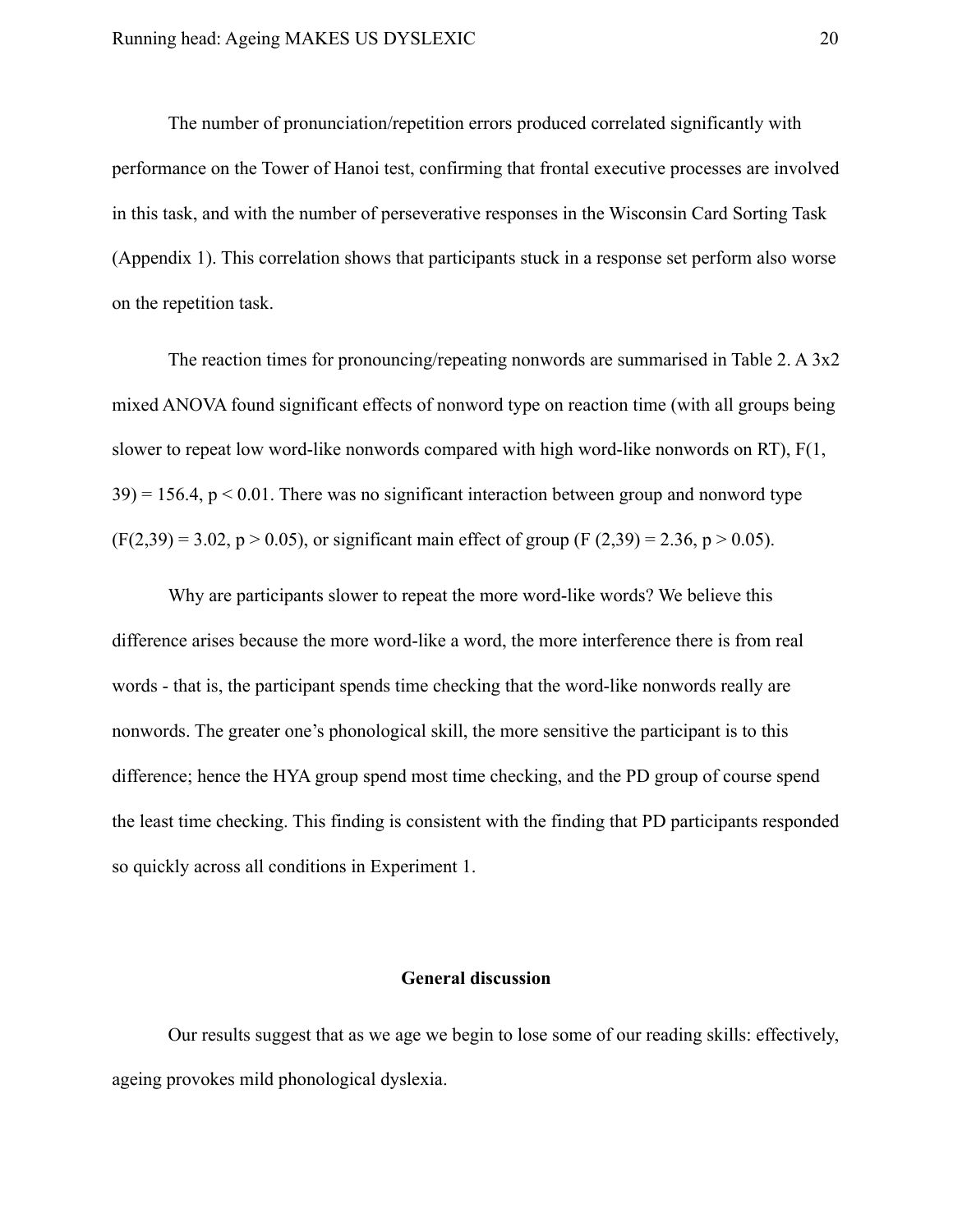The number of pronunciation/repetition errors produced correlated significantly with performance on the Tower of Hanoi test, confirming that frontal executive processes are involved in this task, and with the number of perseverative responses in the Wisconsin Card Sorting Task (Appendix 1). This correlation shows that participants stuck in a response set perform also worse on the repetition task.

The reaction times for pronouncing/repeating nonwords are summarised in Table 2. A 3x2 mixed ANOVA found significant effects of nonword type on reaction time (with all groups being slower to repeat low word-like nonwords compared with high word-like nonwords on RT), F(1,  $39$  = 156.4,  $p < 0.01$ . There was no significant interaction between group and nonword type  $(F(2,39) = 3.02, p > 0.05)$ , or significant main effect of group  $(F(2,39) = 2.36, p > 0.05)$ .

Why are participants slower to repeat the more word-like words? We believe this difference arises because the more word-like a word, the more interference there is from real words - that is, the participant spends time checking that the word-like nonwords really are nonwords. The greater one's phonological skill, the more sensitive the participant is to this difference; hence the HYA group spend most time checking, and the PD group of course spend the least time checking. This finding is consistent with the finding that PD participants responded so quickly across all conditions in Experiment 1.

### **General discussion**

Our results suggest that as we age we begin to lose some of our reading skills: effectively, ageing provokes mild phonological dyslexia.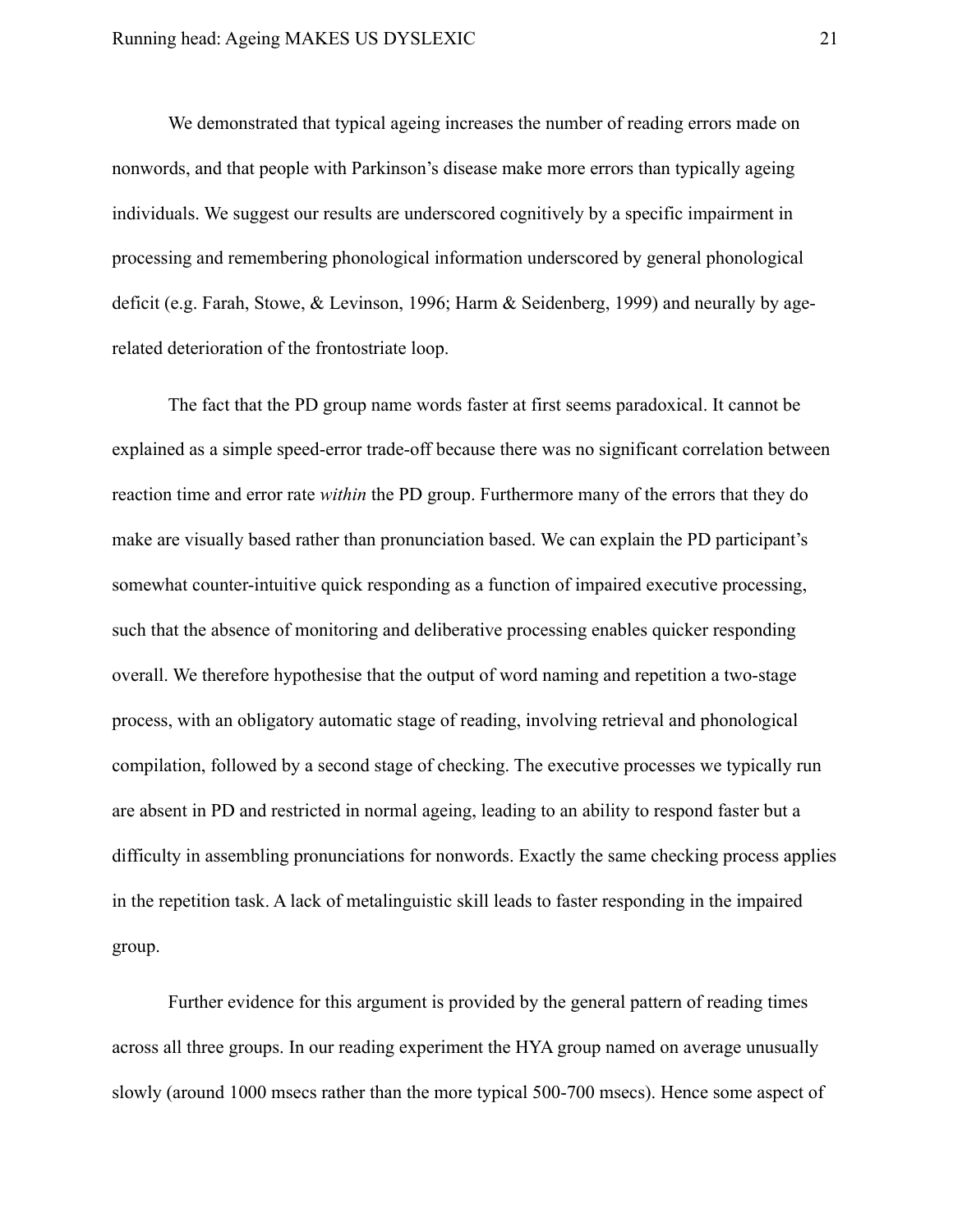We demonstrated that typical ageing increases the number of reading errors made on nonwords, and that people with Parkinson's disease make more errors than typically ageing individuals. We suggest our results are underscored cognitively by a specific impairment in processing and remembering phonological information underscored by general phonological deficit (e.g. Farah, Stowe, & Levinson, 1996; Harm & Seidenberg, 1999) and neurally by agerelated deterioration of the frontostriate loop.

The fact that the PD group name words faster at first seems paradoxical. It cannot be explained as a simple speed-error trade-off because there was no significant correlation between reaction time and error rate *within* the PD group. Furthermore many of the errors that they do make are visually based rather than pronunciation based. We can explain the PD participant's somewhat counter-intuitive quick responding as a function of impaired executive processing, such that the absence of monitoring and deliberative processing enables quicker responding overall. We therefore hypothesise that the output of word naming and repetition a two-stage process, with an obligatory automatic stage of reading, involving retrieval and phonological compilation, followed by a second stage of checking. The executive processes we typically run are absent in PD and restricted in normal ageing, leading to an ability to respond faster but a difficulty in assembling pronunciations for nonwords. Exactly the same checking process applies in the repetition task. A lack of metalinguistic skill leads to faster responding in the impaired group.

Further evidence for this argument is provided by the general pattern of reading times across all three groups. In our reading experiment the HYA group named on average unusually slowly (around 1000 msecs rather than the more typical 500-700 msecs). Hence some aspect of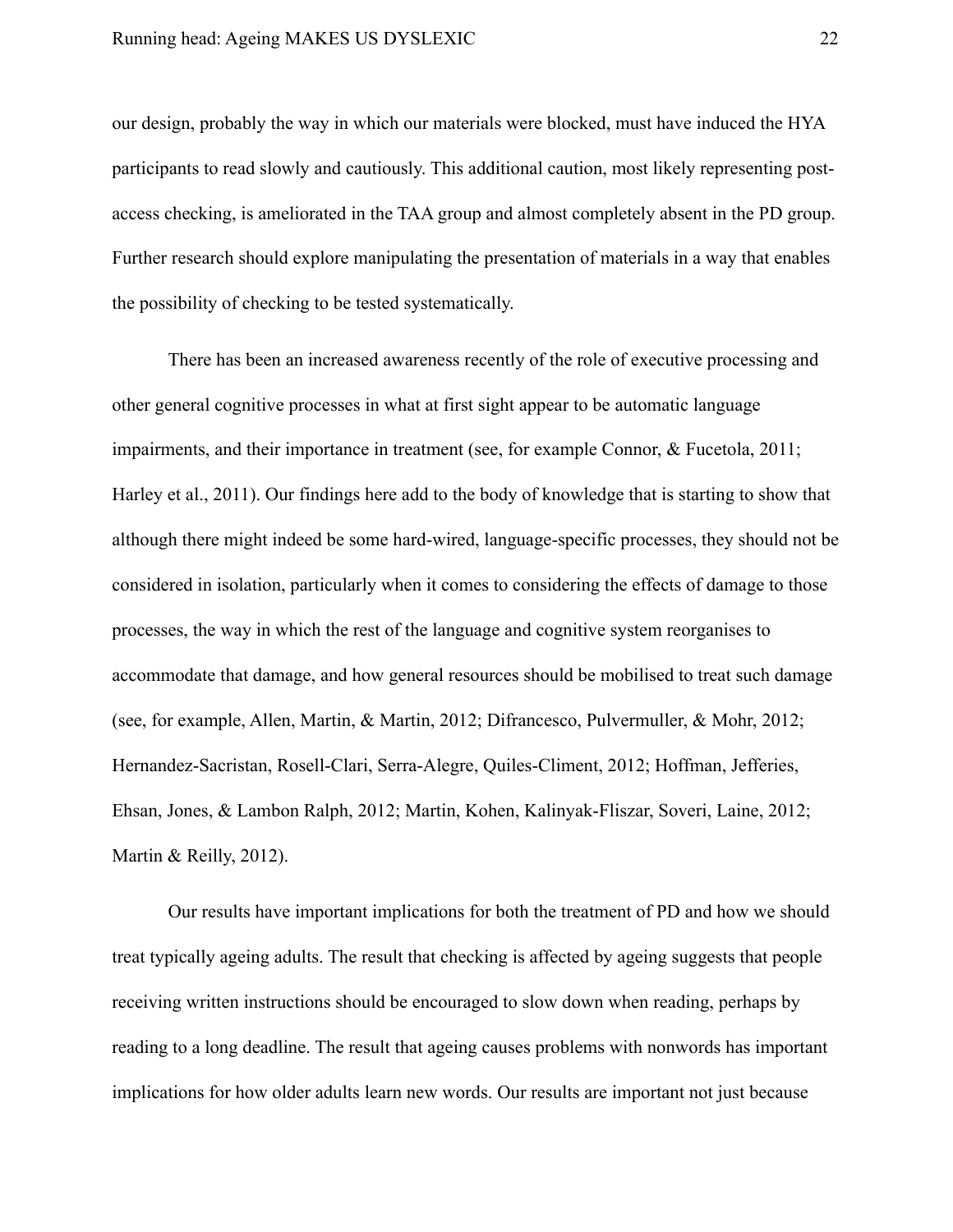our design, probably the way in which our materials were blocked, must have induced the HYA participants to read slowly and cautiously. This additional caution, most likely representing postaccess checking, is ameliorated in the TAA group and almost completely absent in the PD group. Further research should explore manipulating the presentation of materials in a way that enables the possibility of checking to be tested systematically.

There has been an increased awareness recently of the role of executive processing and other general cognitive processes in what at first sight appear to be automatic language impairments, and their importance in treatment (see, for example Connor, & Fucetola, 2011; Harley et al., 2011). Our findings here add to the body of knowledge that is starting to show that although there might indeed be some hard-wired, language-specific processes, they should not be considered in isolation, particularly when it comes to considering the effects of damage to those processes, the way in which the rest of the language and cognitive system reorganises to accommodate that damage, and how general resources should be mobilised to treat such damage (see, for example, Allen, Martin, & Martin, 2012; Difrancesco, Pulvermuller, & Mohr, 2012; Hernandez-Sacristan, Rosell-Clari, Serra-Alegre, Quiles-Climent, 2012; Hoffman, Jefferies, Ehsan, Jones, & Lambon Ralph, 2012; Martin, Kohen, Kalinyak-Fliszar, Soveri, Laine, 2012; Martin & Reilly, 2012).

Our results have important implications for both the treatment of PD and how we should treat typically ageing adults. The result that checking is affected by ageing suggests that people receiving written instructions should be encouraged to slow down when reading, perhaps by reading to a long deadline. The result that ageing causes problems with nonwords has important implications for how older adults learn new words. Our results are important not just because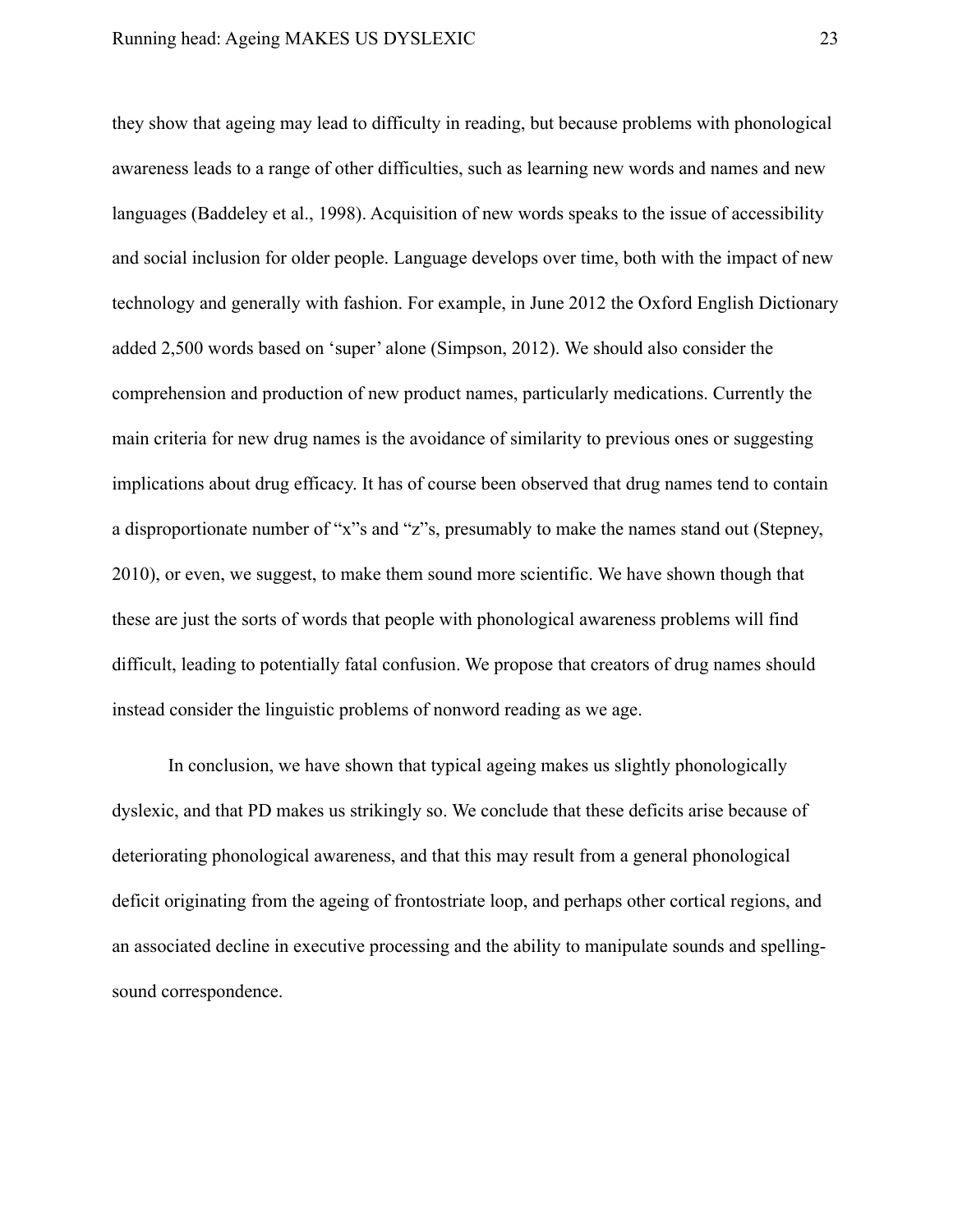they show that ageing may lead to difficulty in reading, but because problems with phonological awareness leads to a range of other difficulties, such as learning new words and names and new languages (Baddeley et al., 1998). Acquisition of new words speaks to the issue of accessibility and social inclusion for older people. Language develops over time, both with the impact of new technology and generally with fashion. For example, in June 2012 the Oxford English Dictionary added 2,500 words based on 'super' alone (Simpson, 2012). We should also consider the comprehension and production of new product names, particularly medications. Currently the main criteria for new drug names is the avoidance of similarity to previous ones or suggesting implications about drug efficacy. It has of course been observed that drug names tend to contain a disproportionate number of "x"s and "z"s, presumably to make the names stand out (Stepney, 2010), or even, we suggest, to make them sound more scientific. We have shown though that these are just the sorts of words that people with phonological awareness problems will find difficult, leading to potentially fatal confusion. We propose that creators of drug names should instead consider the linguistic problems of nonword reading as we age.

In conclusion, we have shown that typical ageing makes us slightly phonologically dyslexic, and that PD makes us strikingly so. We conclude that these deficits arise because of deteriorating phonological awareness, and that this may result from a general phonological deficit originating from the ageing of frontostriate loop, and perhaps other cortical regions, and an associated decline in executive processing and the ability to manipulate sounds and spellingsound correspondence.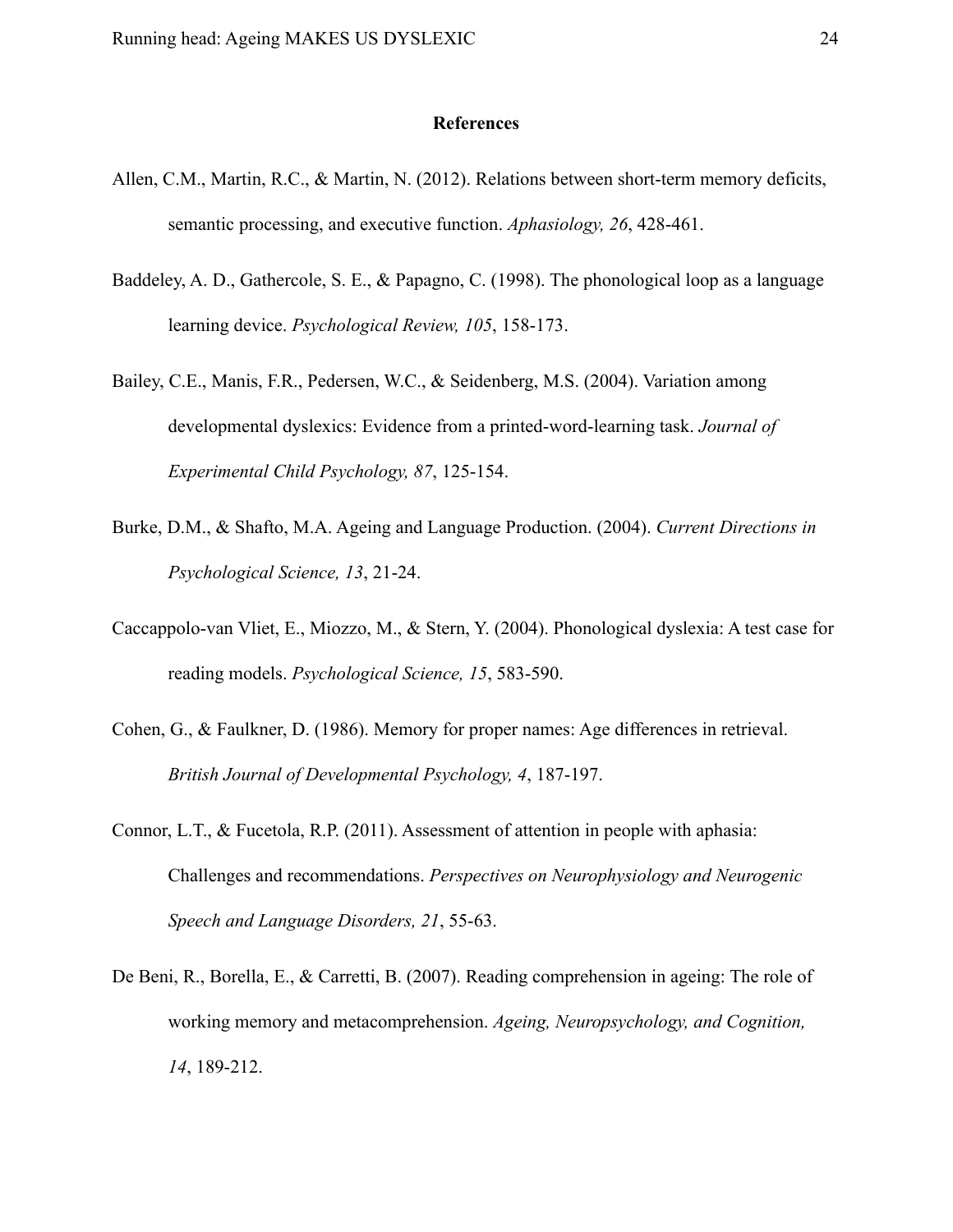#### **References**

- Allen, C.M., Martin, R.C., & Martin, N. (2012). Relations between short-term memory deficits, semantic processing, and executive function. *Aphasiology, 26*, 428-461.
- Baddeley, A. D., Gathercole, S. E., & Papagno, C. (1998). The phonological loop as a language learning device. *Psychological Review, 105*, 158-173.
- Bailey, C.E., Manis, F.R., Pedersen, W.C., & Seidenberg, M.S. (2004). Variation among developmental dyslexics: Evidence from a printed-word-learning task. *Journal of Experimental Child Psychology, 87*, 125-154.
- Burke, D.M., & Shafto, M.A. Ageing and Language Production. (2004). *Current Directions in Psychological Science, 13*, 21-24.
- Caccappolo-van Vliet, E., Miozzo, M., & Stern, Y. (2004). Phonological dyslexia: A test case for reading models. *Psychological Science, 15*, 583-590.
- Cohen, G., & Faulkner, D. (1986). Memory for proper names: Age differences in retrieval. *British Journal of Developmental Psychology, 4*, 187-197.
- Connor, L.T., & Fucetola, R.P. (2011). Assessment of attention in people with aphasia: Challenges and recommendations. *Perspectives on Neurophysiology and Neurogenic Speech and Language Disorders, 21*, 55-63.
- De Beni, R., Borella, E., & Carretti, B. (2007). Reading comprehension in ageing: The role of working memory and metacomprehension. *Ageing, Neuropsychology, and Cognition, 14*, 189-212.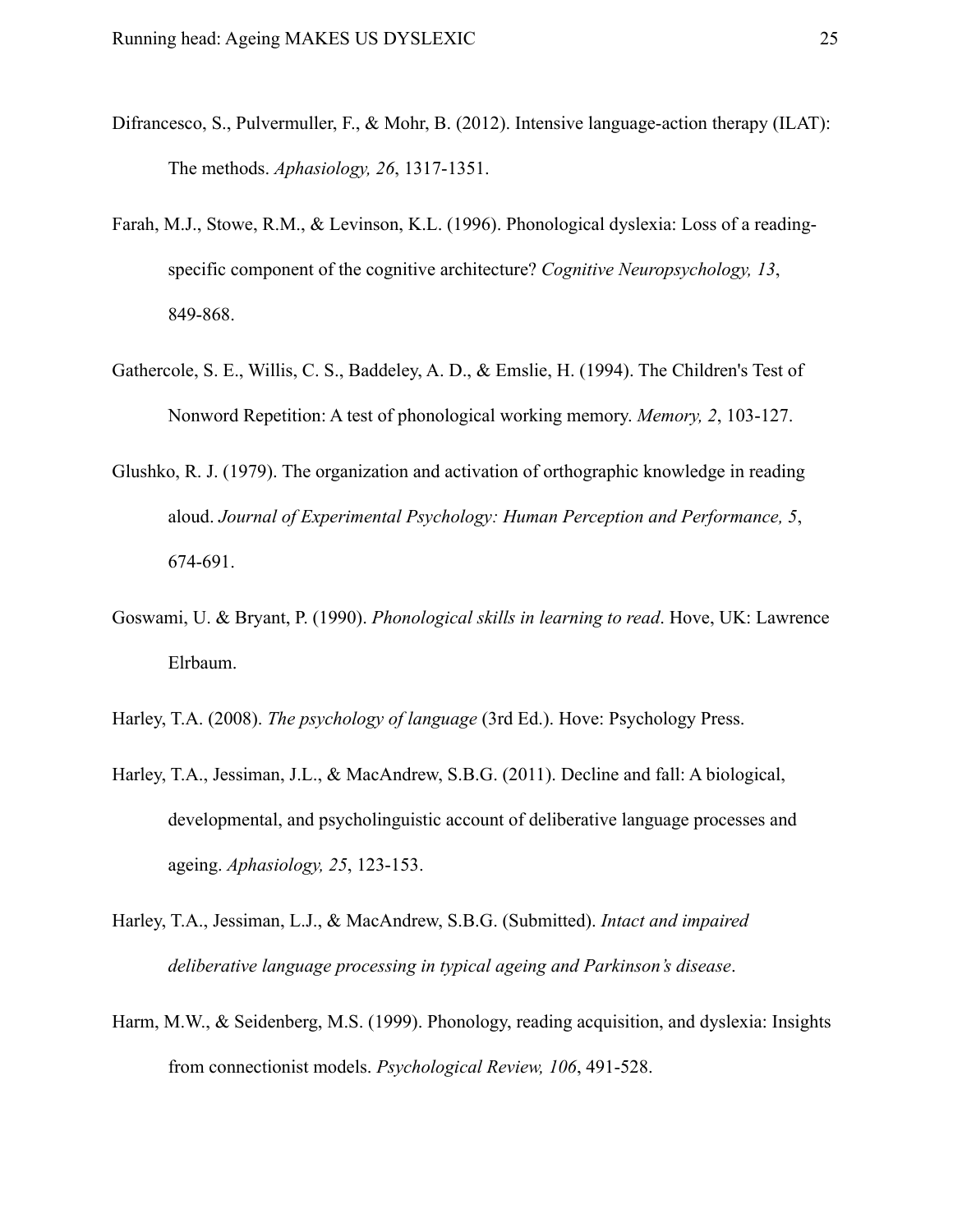- Difrancesco, S., Pulvermuller, F., & Mohr, B. (2012). Intensive language-action therapy (ILAT): The methods. *Aphasiology, 26*, 1317-1351.
- Farah, M.J., Stowe, R.M., & Levinson, K.L. (1996). Phonological dyslexia: Loss of a readingspecific component of the cognitive architecture? *Cognitive Neuropsychology, 13*, 849-868.
- Gathercole, S. E., Willis, C. S., Baddeley, A. D., & Emslie, H. (1994). The Children's Test of Nonword Repetition: A test of phonological working memory. *Memory, 2*, 103-127.
- Glushko, R. J. (1979). The organization and activation of orthographic knowledge in reading aloud. *Journal of Experimental Psychology: Human Perception and Performance, 5*, 674-691.
- Goswami, U. & Bryant, P. (1990). *Phonological skills in learning to read*. Hove, UK: Lawrence Elrbaum.
- Harley, T.A. (2008). *The psychology of language* (3rd Ed.). Hove: Psychology Press.
- Harley, T.A., Jessiman, J.L., & MacAndrew, S.B.G. (2011). Decline and fall: A biological, developmental, and psycholinguistic account of deliberative language processes and ageing. *Aphasiology, 25*, 123-153.
- Harley, T.A., Jessiman, L.J., & MacAndrew, S.B.G. (Submitted). *Intact and impaired deliberative language processing in typical ageing and Parkinson's disease*.
- Harm, M.W., & Seidenberg, M.S. (1999). Phonology, reading acquisition, and dyslexia: Insights from connectionist models. *Psychological Review, 106*, 491-528.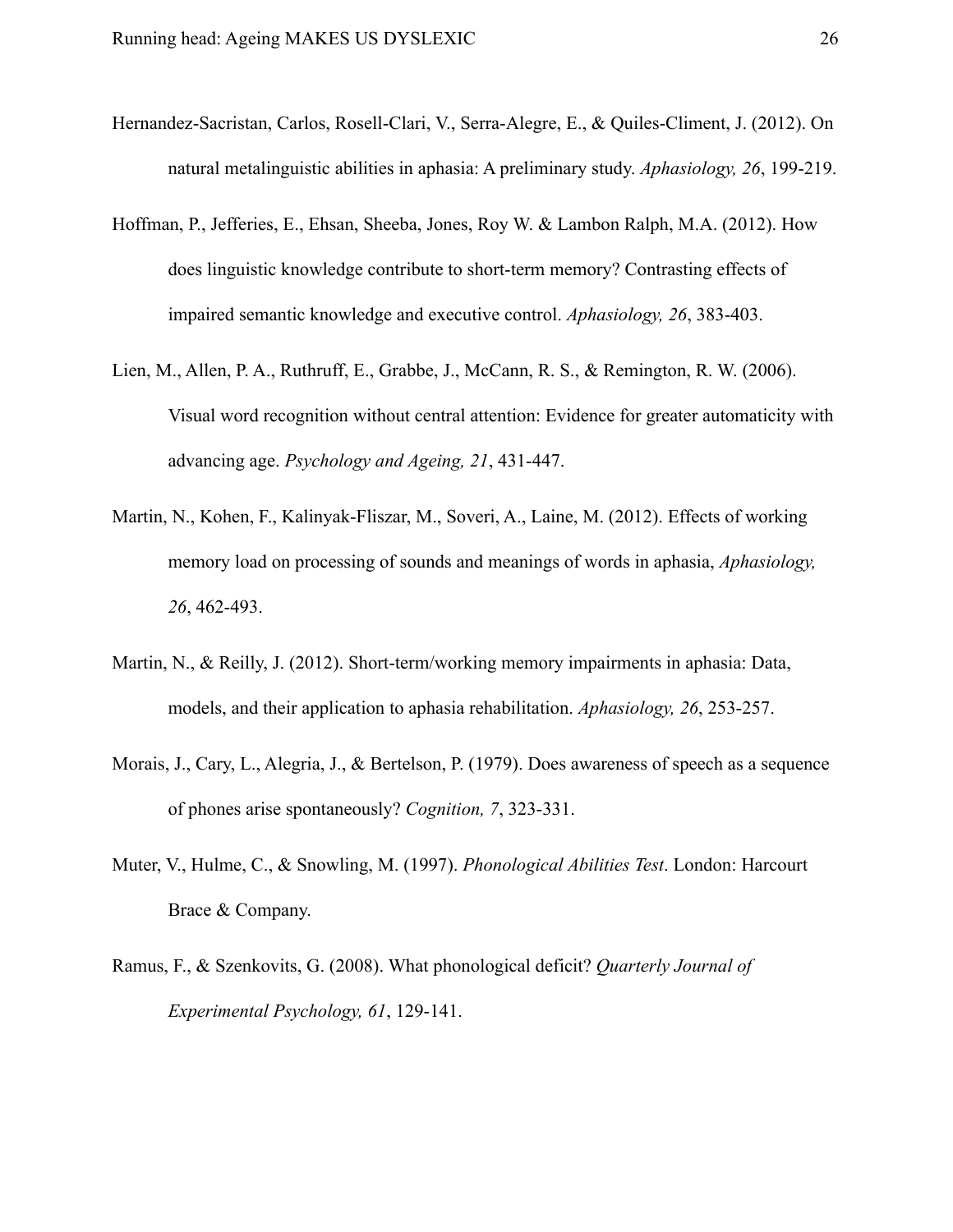- Hernandez-Sacristan, Carlos, Rosell-Clari, V., Serra-Alegre, E., & Quiles-Climent, J. (2012). On natural metalinguistic abilities in aphasia: A preliminary study. *Aphasiology, 26*, 199-219.
- Hoffman, P., Jefferies, E., Ehsan, Sheeba, Jones, Roy W. & Lambon Ralph, M.A. (2012). How does linguistic knowledge contribute to short-term memory? Contrasting effects of impaired semantic knowledge and executive control. *Aphasiology, 26*, 383-403.
- Lien, M., Allen, P. A., Ruthruff, E., Grabbe, J., McCann, R. S., & Remington, R. W. (2006). Visual word recognition without central attention: Evidence for greater automaticity with advancing age. *Psychology and Ageing, 21*, 431-447.
- Martin, N., Kohen, F., Kalinyak-Fliszar, M., Soveri, A., Laine, M. (2012). Effects of working memory load on processing of sounds and meanings of words in aphasia, *Aphasiology, 26*, 462-493.
- Martin, N., & Reilly, J. (2012). Short-term/working memory impairments in aphasia: Data, models, and their application to aphasia rehabilitation. *Aphasiology, 26*, 253-257.
- Morais, J., Cary, L., Alegria, J., & Bertelson, P. (1979). Does awareness of speech as a sequence of phones arise spontaneously? *Cognition, 7*, 323-331.
- Muter, V., Hulme, C., & Snowling, M. (1997). *Phonological Abilities Test*. London: Harcourt Brace & Company.
- Ramus, F., & Szenkovits, G. (2008). What phonological deficit? *Quarterly Journal of Experimental Psychology, 61*, 129-141.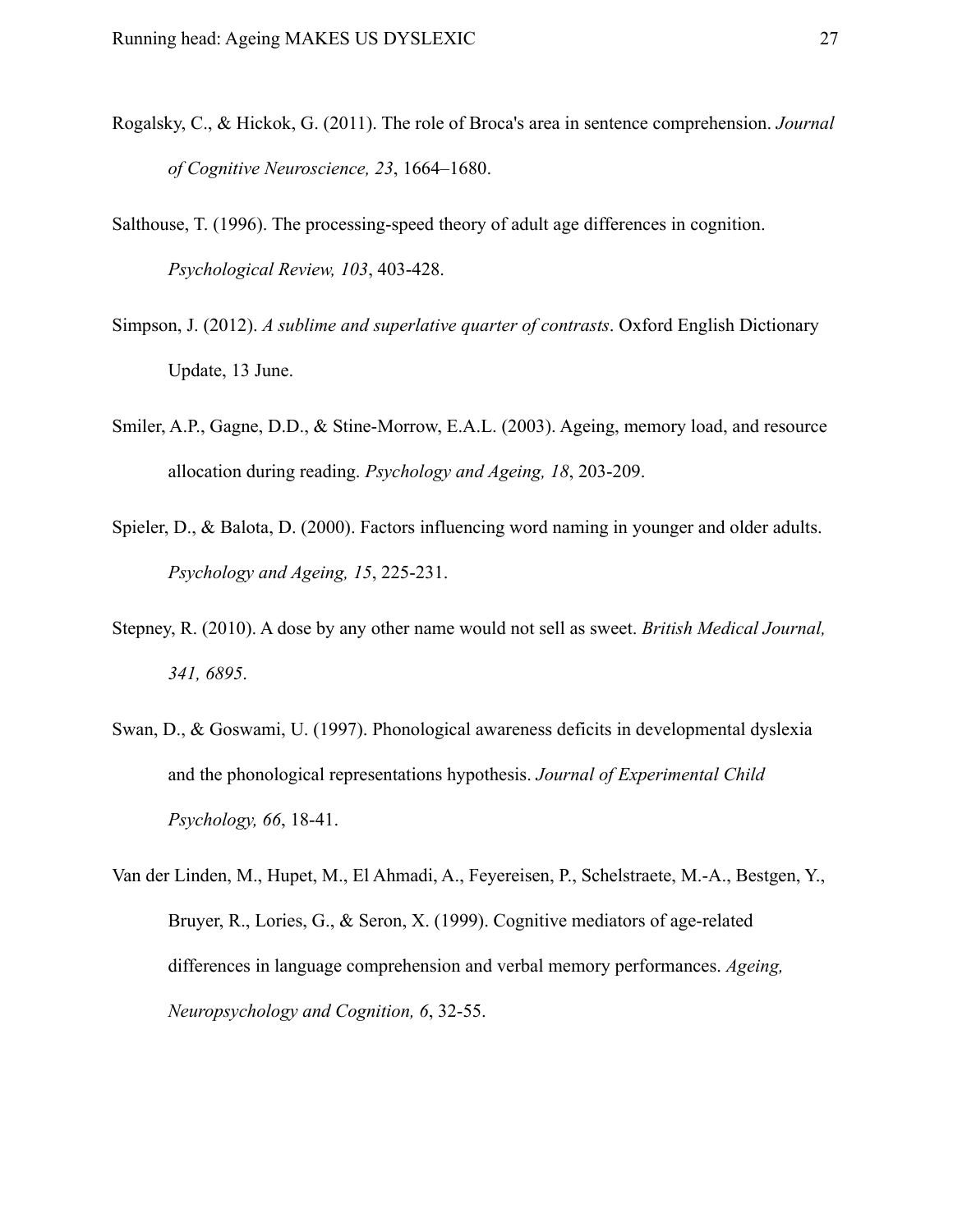- Rogalsky, C., & Hickok, G. (2011). The role of Broca's area in sentence comprehension. *Journal of Cognitive Neuroscience, 23*, 1664–1680.
- Salthouse, T. (1996). The processing-speed theory of adult age differences in cognition. *Psychological Review, 103*, 403-428.
- Simpson, J. (2012). *A sublime and superlative quarter of contrasts*. Oxford English Dictionary Update, 13 June.
- Smiler, A.P., Gagne, D.D., & Stine-Morrow, E.A.L. (2003). Ageing, memory load, and resource allocation during reading. *Psychology and Ageing, 18*, 203-209.
- Spieler, D., & Balota, D. (2000). Factors influencing word naming in younger and older adults. *Psychology and Ageing, 15*, 225-231.
- Stepney, R. (2010). A dose by any other name would not sell as sweet. *British Medical Journal, 341, 6895*.
- Swan, D., & Goswami, U. (1997). Phonological awareness deficits in developmental dyslexia and the phonological representations hypothesis. *Journal of Experimental Child Psychology, 66*, 18-41.
- Van der Linden, M., Hupet, M., El Ahmadi, A., Feyereisen, P., Schelstraete, M.-A., Bestgen, Y., Bruyer, R., Lories, G., & Seron, X. (1999). Cognitive mediators of age-related differences in language comprehension and verbal memory performances. *Ageing, Neuropsychology and Cognition, 6*, 32-55.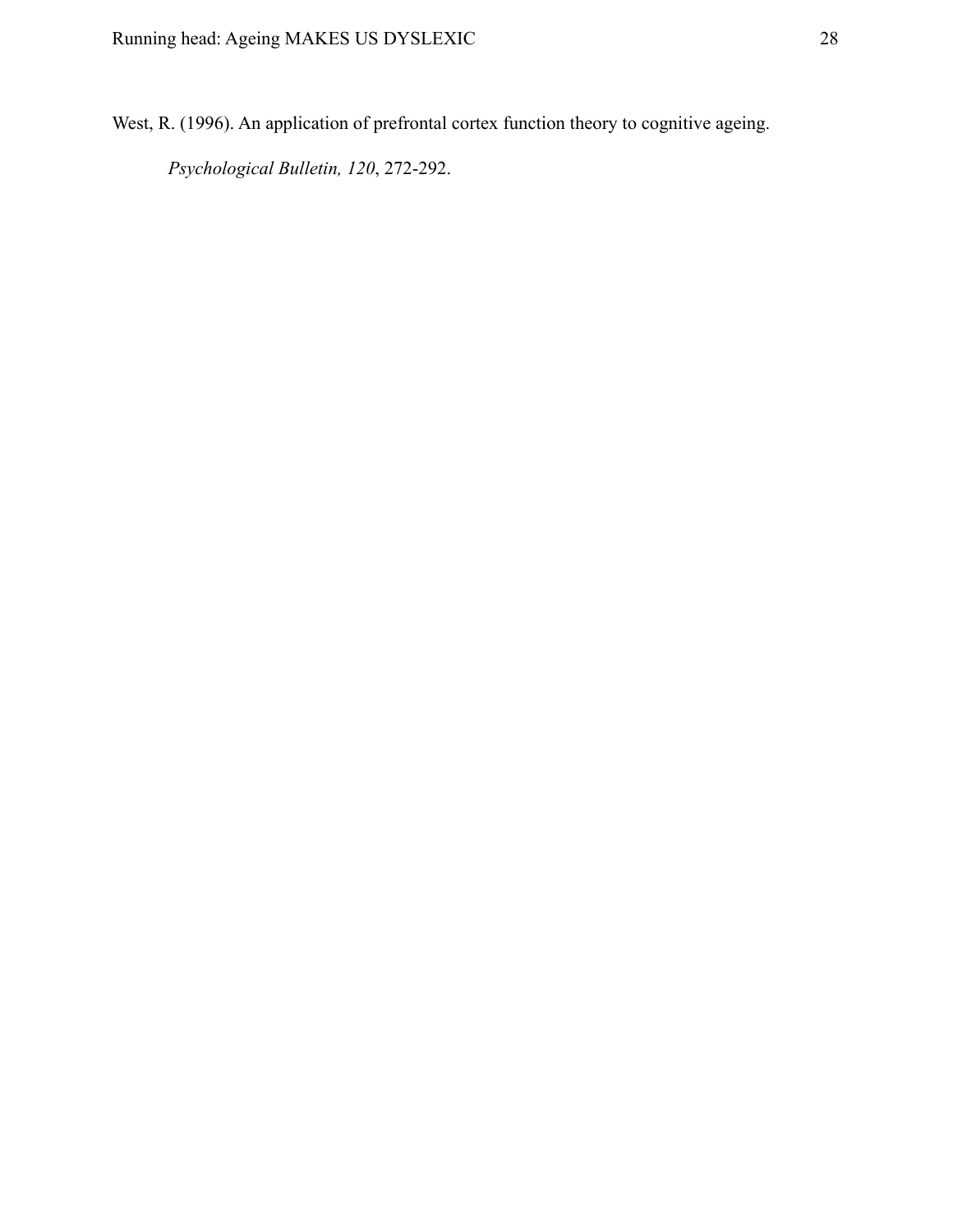West, R. (1996). An application of prefrontal cortex function theory to cognitive ageing.

*Psychological Bulletin, 120*, 272-292.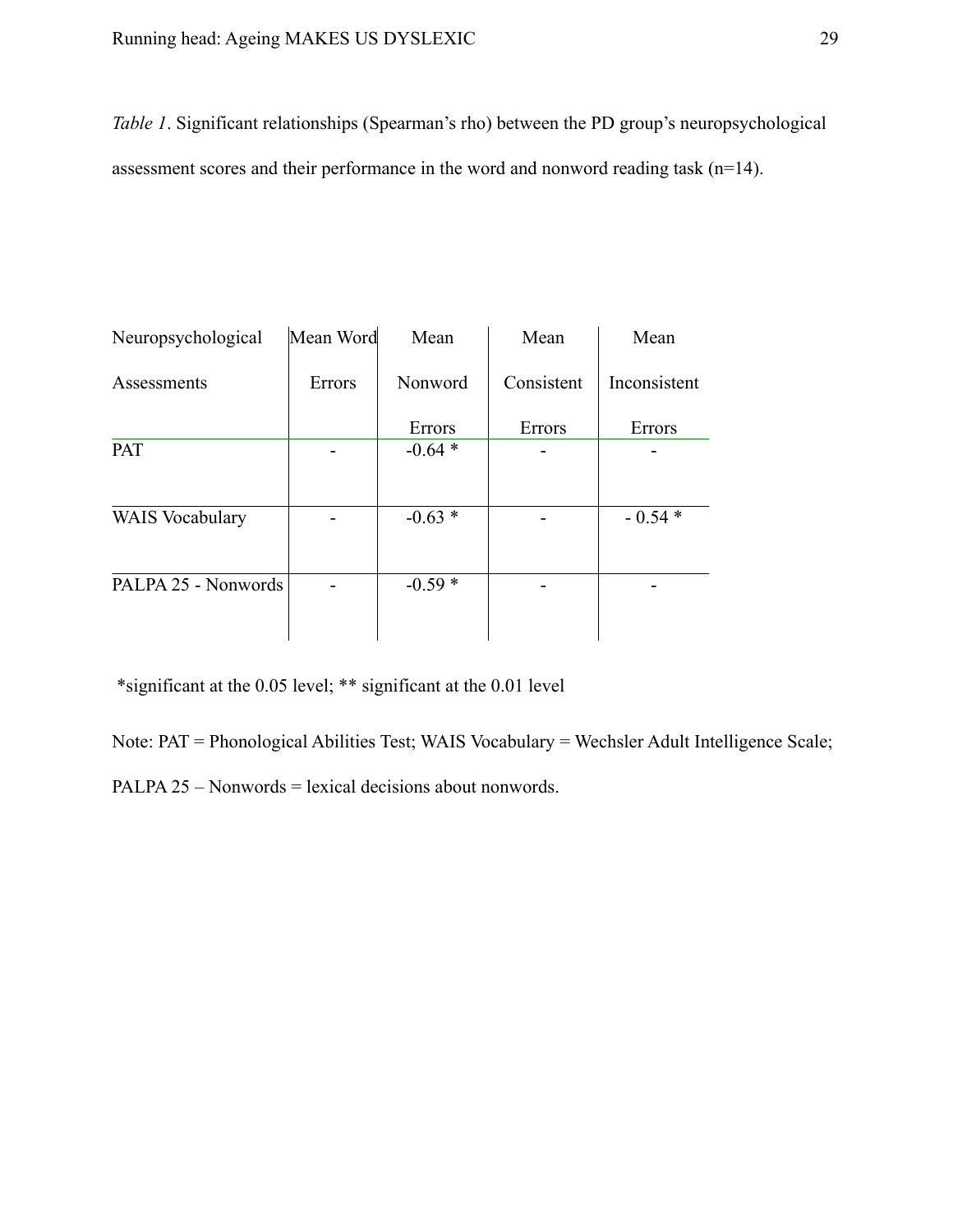*Table 1*. Significant relationships (Spearman's rho) between the PD group's neuropsychological assessment scores and their performance in the word and nonword reading task (n=14).

| Neuropsychological     | Mean Word | Mean     | Mean       | Mean<br>Inconsistent |  |
|------------------------|-----------|----------|------------|----------------------|--|
| Assessments            | Errors    | Nonword  | Consistent |                      |  |
|                        |           | Errors   | Errors     | Errors               |  |
| <b>PAT</b>             |           | $-0.64*$ |            |                      |  |
| <b>WAIS</b> Vocabulary |           | $-0.63*$ |            | $-0.54*$             |  |
| PALPA 25 - Nonwords    |           | $-0.59*$ |            |                      |  |

\*significant at the 0.05 level; \*\* significant at the 0.01 level

Note: PAT = Phonological Abilities Test; WAIS Vocabulary = Wechsler Adult Intelligence Scale;

PALPA 25 – Nonwords = lexical decisions about nonwords.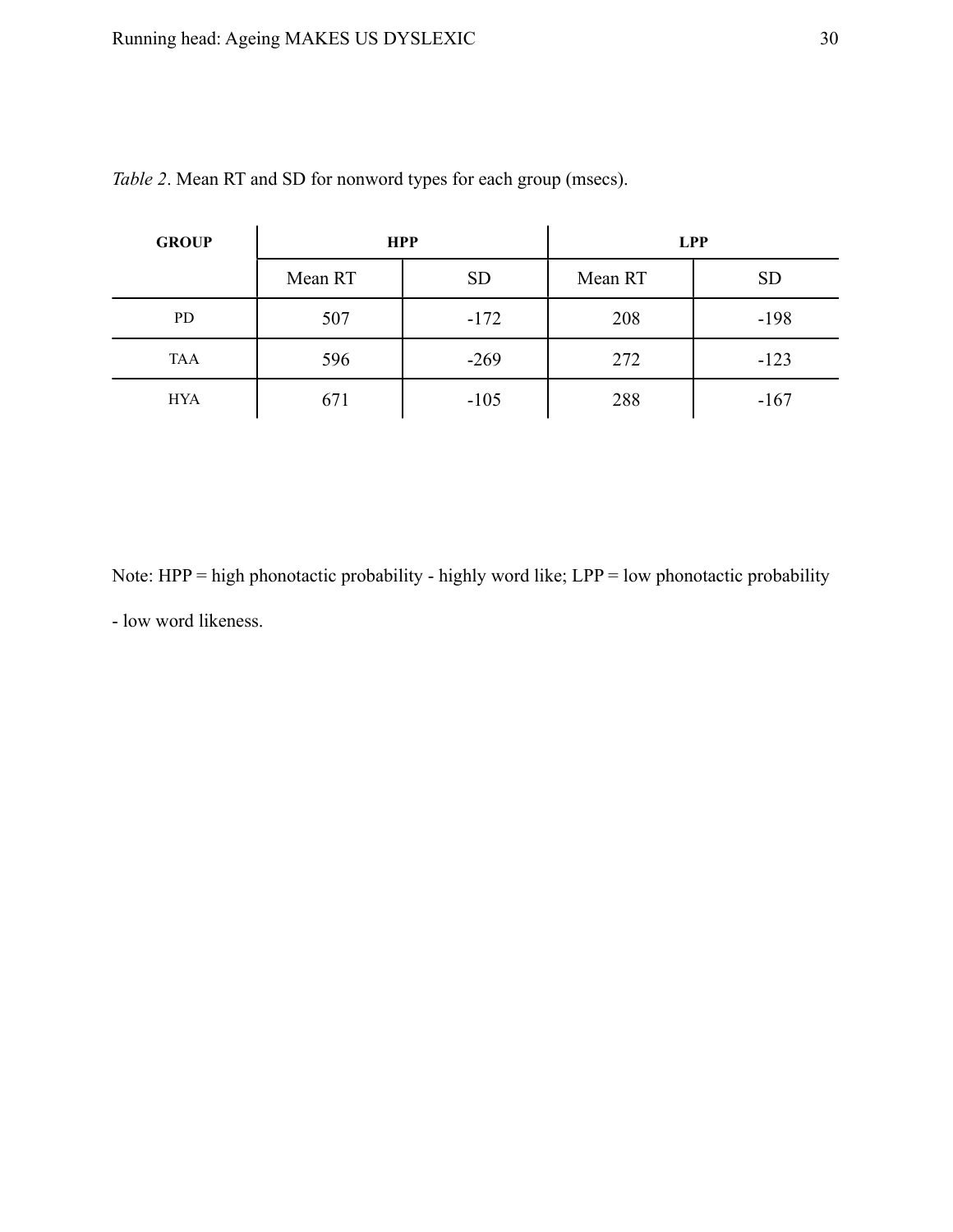| <b>GROUP</b> |         | <b>HPP</b> | <b>LPP</b> |           |  |
|--------------|---------|------------|------------|-----------|--|
|              | Mean RT | <b>SD</b>  | Mean RT    | <b>SD</b> |  |
| <b>PD</b>    | 507     | $-172$     | 208        | $-198$    |  |
| TAA          | 596     | $-269$     | 272        | $-123$    |  |
| <b>HYA</b>   | 671     | $-105$     | 288        | $-167$    |  |

*Table 2*. Mean RT and SD for nonword types for each group (msecs).

Note: HPP = high phonotactic probability - highly word like; LPP = low phonotactic probability - low word likeness.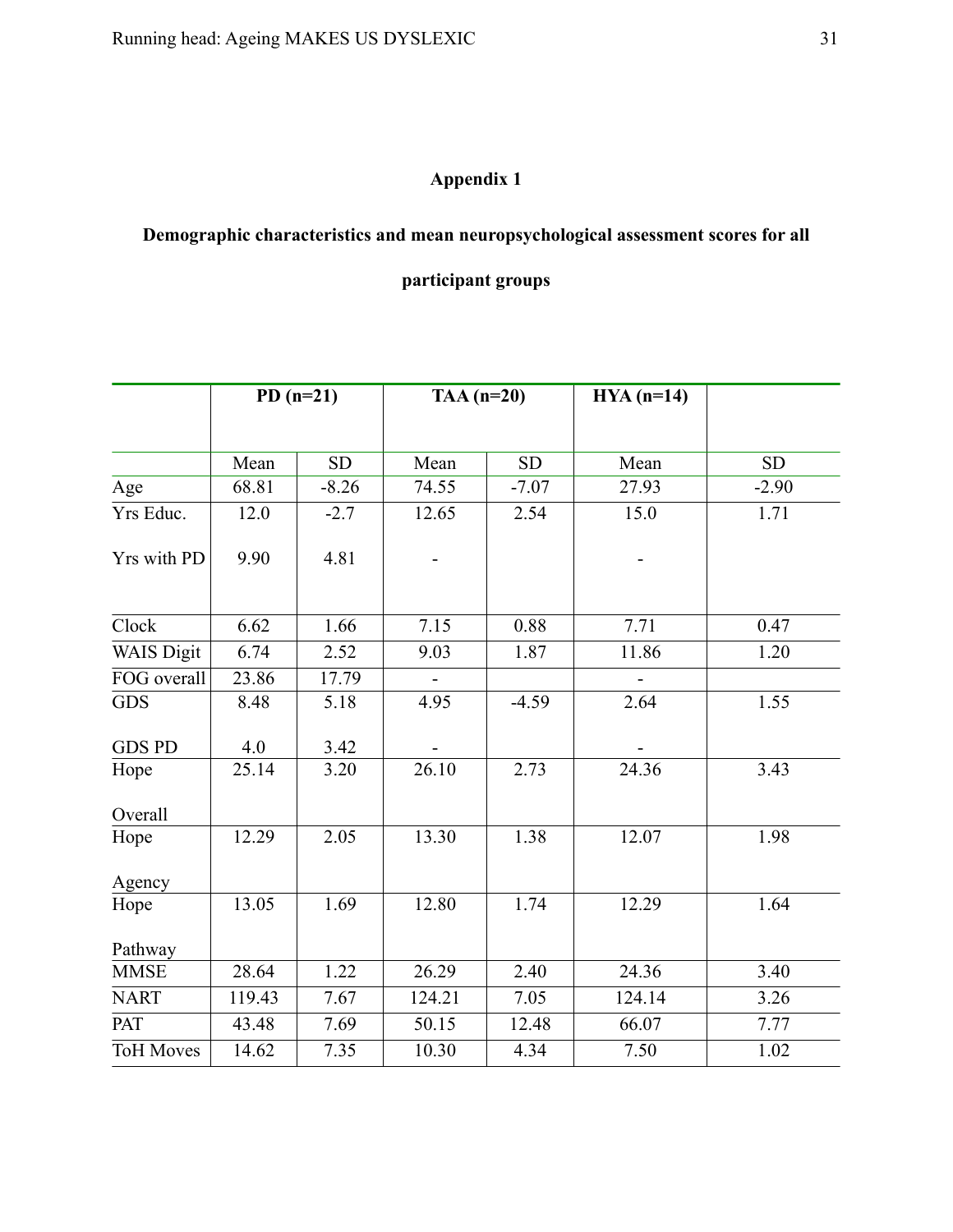# **Appendix 1**

# **Demographic characteristics and mean neuropsychological assessment scores for all**

# **participant groups**

|                   | $PD(n=21)$ |           | TAA $(n=20)$   |           | $HYA(n=14)$ |           |
|-------------------|------------|-----------|----------------|-----------|-------------|-----------|
|                   |            |           |                |           |             |           |
|                   | Mean       | <b>SD</b> | Mean           | <b>SD</b> | Mean        | <b>SD</b> |
| Age               | 68.81      | $-8.26$   | 74.55          | $-7.07$   | 27.93       | $-2.90$   |
| Yrs Educ.         | 12.0       | $-2.7$    | 12.65          | 2.54      | 15.0        | 1.71      |
| Yrs with PD       | 9.90       | 4.81      |                |           |             |           |
| Clock             | 6.62       | 1.66      | 7.15           | 0.88      | 7.71        | 0.47      |
| <b>WAIS Digit</b> | 6.74       | 2.52      | 9.03           | 1.87      | 11.86       | 1.20      |
| FOG overall       | 23.86      | 17.79     | $\blacksquare$ |           |             |           |
| <b>GDS</b>        | 8.48       | 5.18      | 4.95           | $-4.59$   | 2.64        | 1.55      |
| <b>GDS PD</b>     | 4.0        | 3.42      |                |           |             |           |
| Hope              | 25.14      | 3.20      | 26.10          | 2.73      | 24.36       | 3.43      |
| Overall           |            |           |                |           |             |           |
| Hope              | 12.29      | 2.05      | 13.30          | 1.38      | 12.07       | 1.98      |
| Agency            |            |           |                |           |             |           |
| Hope              | 13.05      | 1.69      | 12.80          | 1.74      | 12.29       | 1.64      |
| Pathway           |            |           |                |           |             |           |
| <b>MMSE</b>       | 28.64      | 1.22      | 26.29          | 2.40      | 24.36       | 3.40      |
| <b>NART</b>       | 119.43     | 7.67      | 124.21         | 7.05      | 124.14      | 3.26      |
| PAT               | 43.48      | 7.69      | 50.15          | 12.48     | 66.07       | 7.77      |
| <b>ToH Moves</b>  | 14.62      | 7.35      | 10.30          | 4.34      | 7.50        | 1.02      |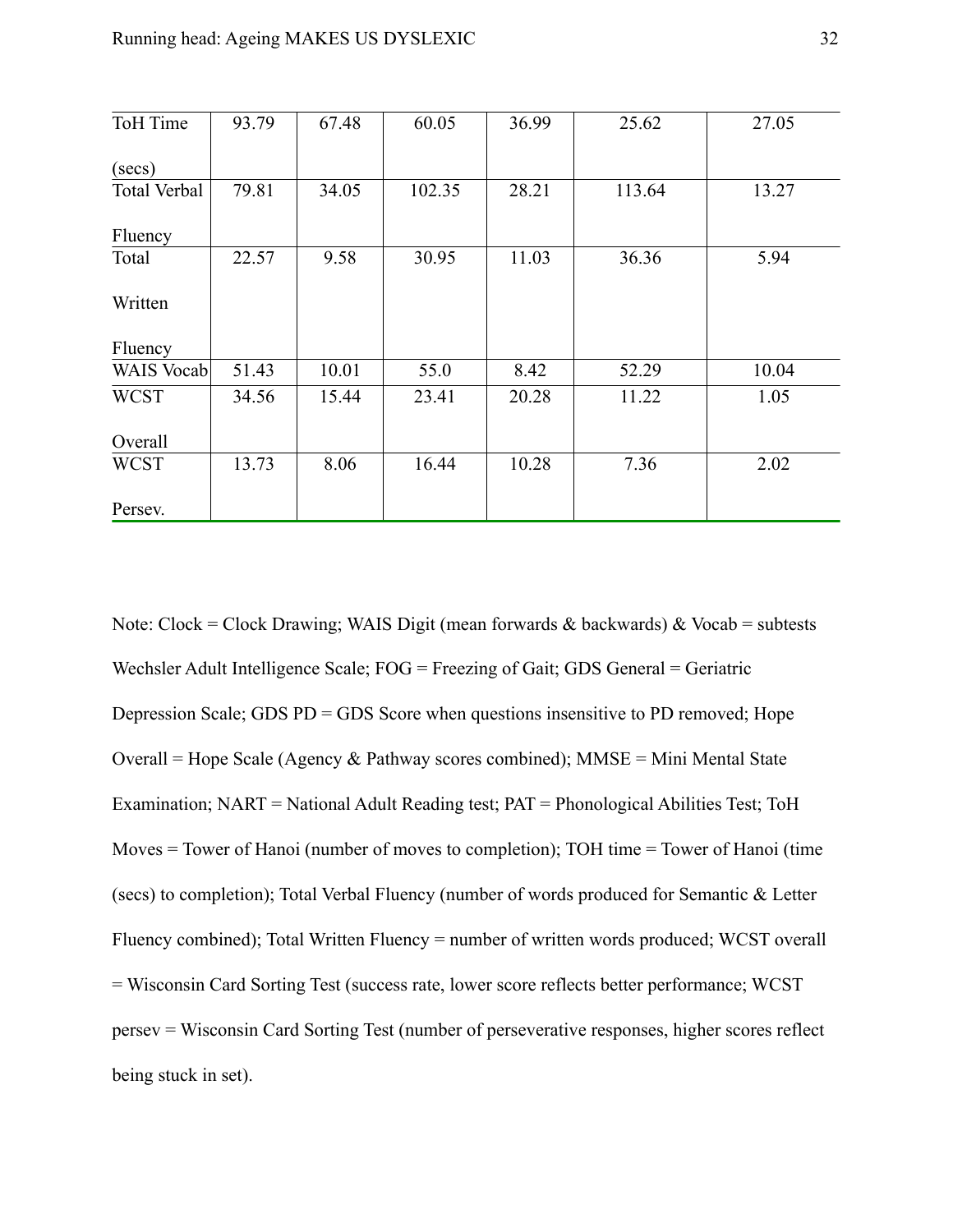| ToH Time            | 93.79 | 67.48 | 60.05  | 36.99 | 25.62  | 27.05 |
|---------------------|-------|-------|--------|-------|--------|-------|
| (secs)              |       |       |        |       |        |       |
| <b>Total Verbal</b> | 79.81 | 34.05 | 102.35 | 28.21 | 113.64 | 13.27 |
| Fluency             |       |       |        |       |        |       |
| Total               | 22.57 | 9.58  | 30.95  | 11.03 | 36.36  | 5.94  |
| Written             |       |       |        |       |        |       |
| Fluency             |       |       |        |       |        |       |
| WAIS Vocab          | 51.43 | 10.01 | 55.0   | 8.42  | 52.29  | 10.04 |
| <b>WCST</b>         | 34.56 | 15.44 | 23.41  | 20.28 | 11.22  | 1.05  |
| Overall             |       |       |        |       |        |       |
| <b>WCST</b>         | 13.73 | 8.06  | 16.44  | 10.28 | 7.36   | 2.02  |
| Persev.             |       |       |        |       |        |       |

Note: Clock = Clock Drawing; WAIS Digit (mean forwards & backwards) & Vocab = subtests Wechsler Adult Intelligence Scale; FOG = Freezing of Gait; GDS General = Geriatric Depression Scale; GDS PD = GDS Score when questions insensitive to PD removed; Hope Overall = Hope Scale (Agency  $\&$  Pathway scores combined); MMSE = Mini Mental State Examination; NART = National Adult Reading test; PAT = Phonological Abilities Test; ToH Moves = Tower of Hanoi (number of moves to completion); TOH time = Tower of Hanoi (time (secs) to completion); Total Verbal Fluency (number of words produced for Semantic & Letter Fluency combined); Total Written Fluency = number of written words produced; WCST overall = Wisconsin Card Sorting Test (success rate, lower score reflects better performance; WCST persev = Wisconsin Card Sorting Test (number of perseverative responses, higher scores reflect being stuck in set).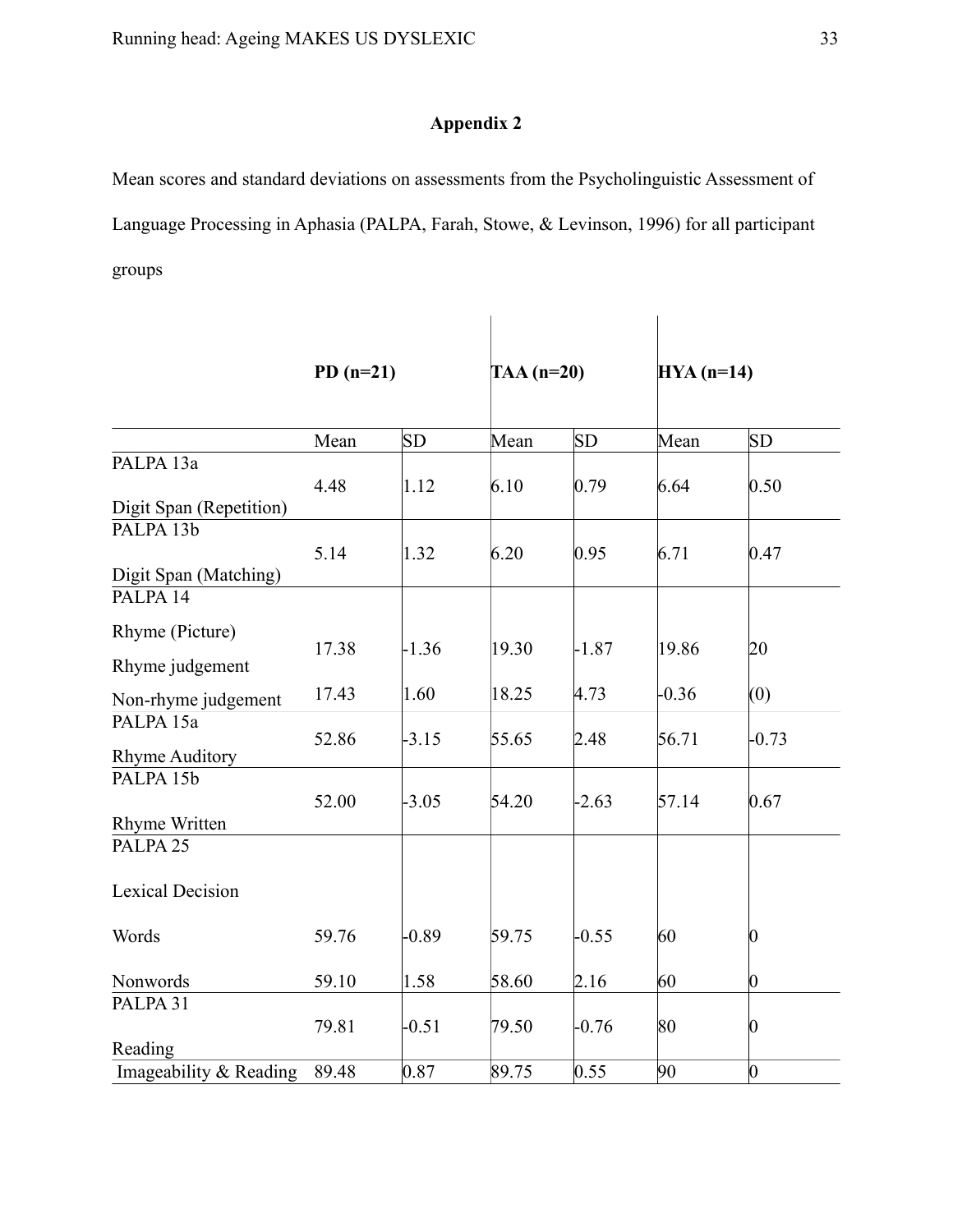# **Appendix 2**

Mean scores and standard deviations on assessments from the Psycholinguistic Assessment of Language Processing in Aphasia (PALPA, Farah, Stowe, & Levinson, 1996) for all participant groups

|                         | $PD(n=21)$ |           | TAA $(n=20)$ |         | $HYA(n=14)$ |                 |
|-------------------------|------------|-----------|--------------|---------|-------------|-----------------|
|                         | Mean       | <b>SD</b> | Mean         | SD      | Mean        | SD              |
| PALPA <sub>13a</sub>    |            |           |              |         |             |                 |
|                         | 4.48       | 1.12      | 6.10         | 0.79    | 6.64        | 0.50            |
| Digit Span (Repetition) |            |           |              |         |             |                 |
| PALPA 13b               |            |           |              |         |             |                 |
|                         | 5.14       | 1.32      | 6.20         | 0.95    | 6.71        | 0.47            |
| Digit Span (Matching)   |            |           |              |         |             |                 |
| PALPA 14                |            |           |              |         |             |                 |
| Rhyme (Picture)         |            |           |              |         |             |                 |
|                         | 17.38      | $-1.36$   | 19.30        | $-1.87$ | 19.86       | 20              |
| Rhyme judgement         |            |           |              |         |             |                 |
| Non-rhyme judgement     | 17.43      | 1.60      | 18.25        | 4.73    | $-0.36$     | (0)             |
| PALPA 15a               |            |           |              |         |             |                 |
|                         | 52.86      | $-3.15$   | 55.65        | 2.48    | 56.71       | $-0.73$         |
| <b>Rhyme Auditory</b>   |            |           |              |         |             |                 |
| PALPA 15b               |            |           |              |         |             |                 |
|                         | 52.00      | $-3.05$   | 54.20        | $-2.63$ | 57.14       | 0.67            |
| Rhyme Written           |            |           |              |         |             |                 |
| PALPA <sub>25</sub>     |            |           |              |         |             |                 |
| <b>Lexical Decision</b> |            |           |              |         |             |                 |
| Words                   | 59.76      | $-0.89$   | 59.75        | $-0.55$ | 60          | 0               |
|                         |            |           |              |         |             |                 |
| Nonwords                | 59.10      | 1.58      | 58.60        | 2.16    | 60          | $\vert 0 \vert$ |
| PALPA 31                |            |           |              |         |             |                 |
|                         | 79.81      | $-0.51$   | 79.50        | $-0.76$ | 80          | $\overline{0}$  |
| Reading                 |            |           |              |         |             |                 |
| Imageability & Reading  | 89.48      | 0.87      | 89.75        | 0.55    | 90          | $\overline{0}$  |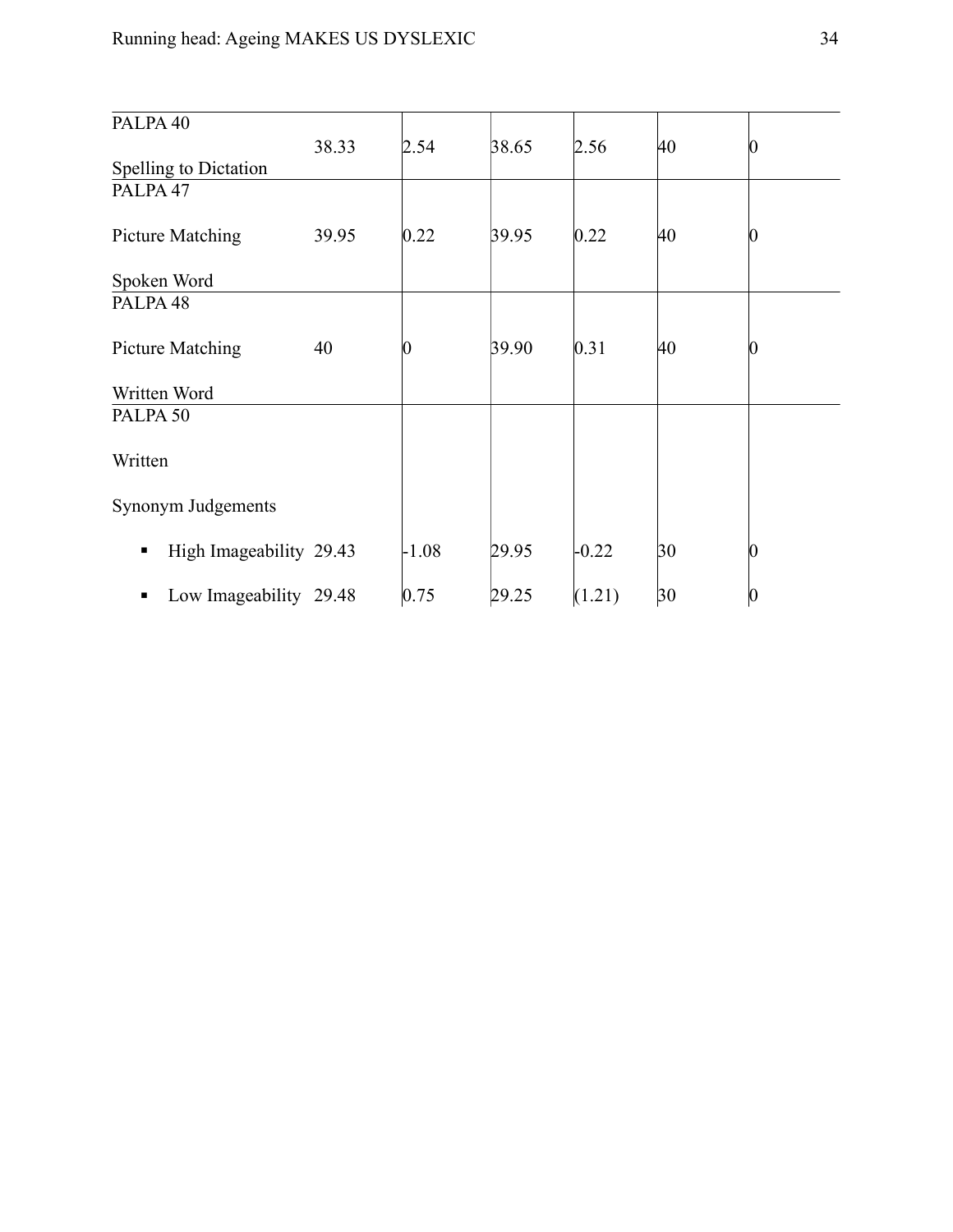| PALPA <sub>40</sub>          |       |         |       |         |    |   |
|------------------------------|-------|---------|-------|---------|----|---|
|                              | 38.33 | 2.54    | 38.65 | 2.56    | 40 | 0 |
| Spelling to Dictation        |       |         |       |         |    |   |
| PALPA <sub>47</sub>          |       |         |       |         |    |   |
| Picture Matching             | 39.95 | 0.22    | 39.95 | 0.22    | 40 | 0 |
| Spoken Word                  |       |         |       |         |    |   |
| PALPA <sub>48</sub>          |       |         |       |         |    |   |
|                              |       |         |       |         |    |   |
| <b>Picture Matching</b>      | 40    |         | 39.90 | 0.31    | 40 | 0 |
|                              |       |         |       |         |    |   |
| Written Word                 |       |         |       |         |    |   |
| PALPA <sub>50</sub>          |       |         |       |         |    |   |
| Written                      |       |         |       |         |    |   |
| Synonym Judgements           |       |         |       |         |    |   |
| High Imageability 29.43<br>п |       | $-1.08$ | 29.95 | $-0.22$ | 30 | 0 |
| Low Imageability 29.48<br>п  |       | 0.75    | 29.25 | (1.21)  | 30 | 0 |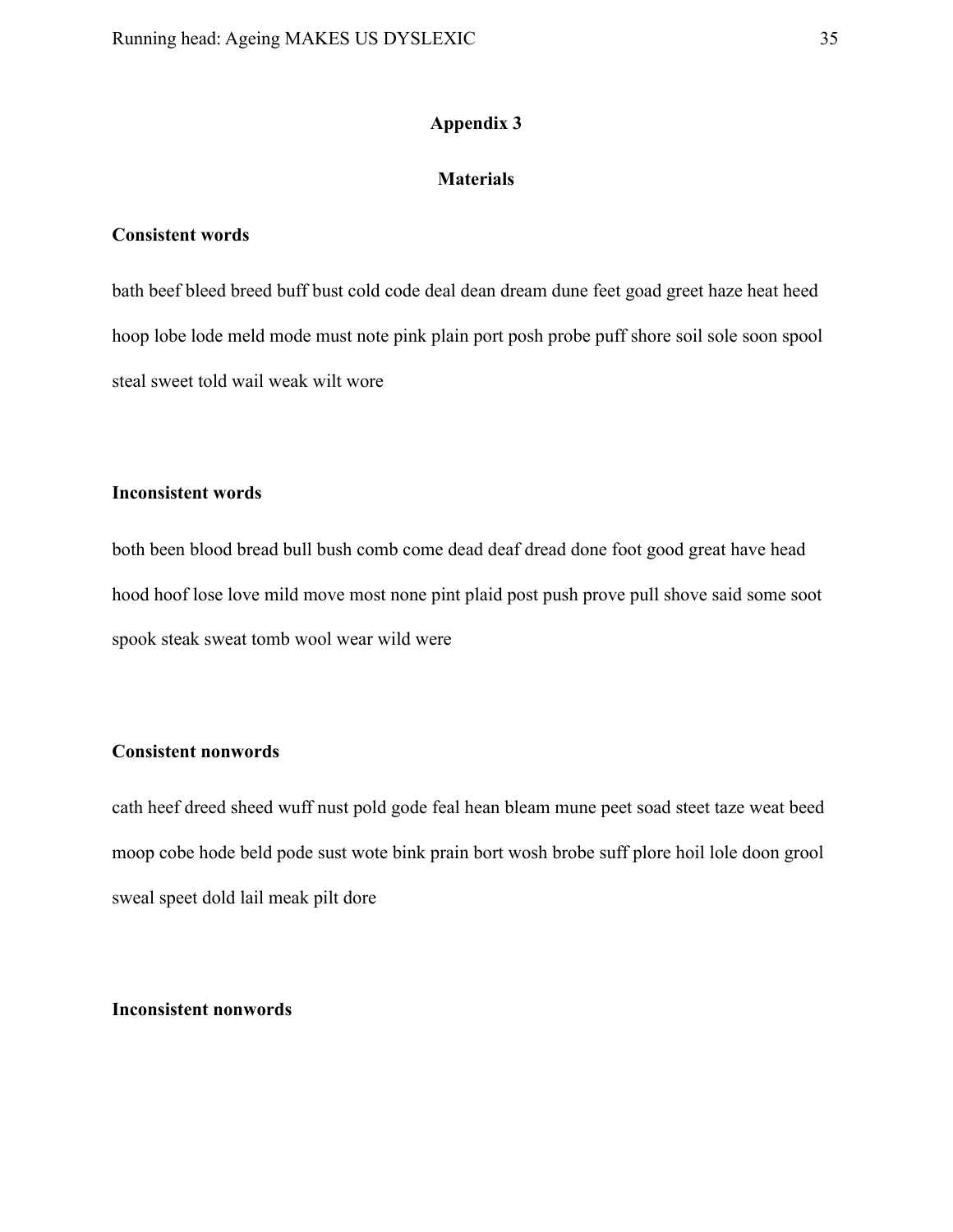# **Appendix 3**

# **Materials**

# **Consistent words**

bath beef bleed breed buff bust cold code deal dean dream dune feet goad greet haze heat heed hoop lobe lode meld mode must note pink plain port posh probe puff shore soil sole soon spool steal sweet told wail weak wilt wore

## **Inconsistent words**

both been blood bread bull bush comb come dead deaf dread done foot good great have head hood hoof lose love mild move most none pint plaid post push prove pull shove said some soot spook steak sweat tomb wool wear wild were

# **Consistent nonwords**

cath heef dreed sheed wuff nust pold gode feal hean bleam mune peet soad steet taze weat beed moop cobe hode beld pode sust wote bink prain bort wosh brobe suff plore hoil lole doon grool sweal speet dold lail meak pilt dore

**Inconsistent nonwords**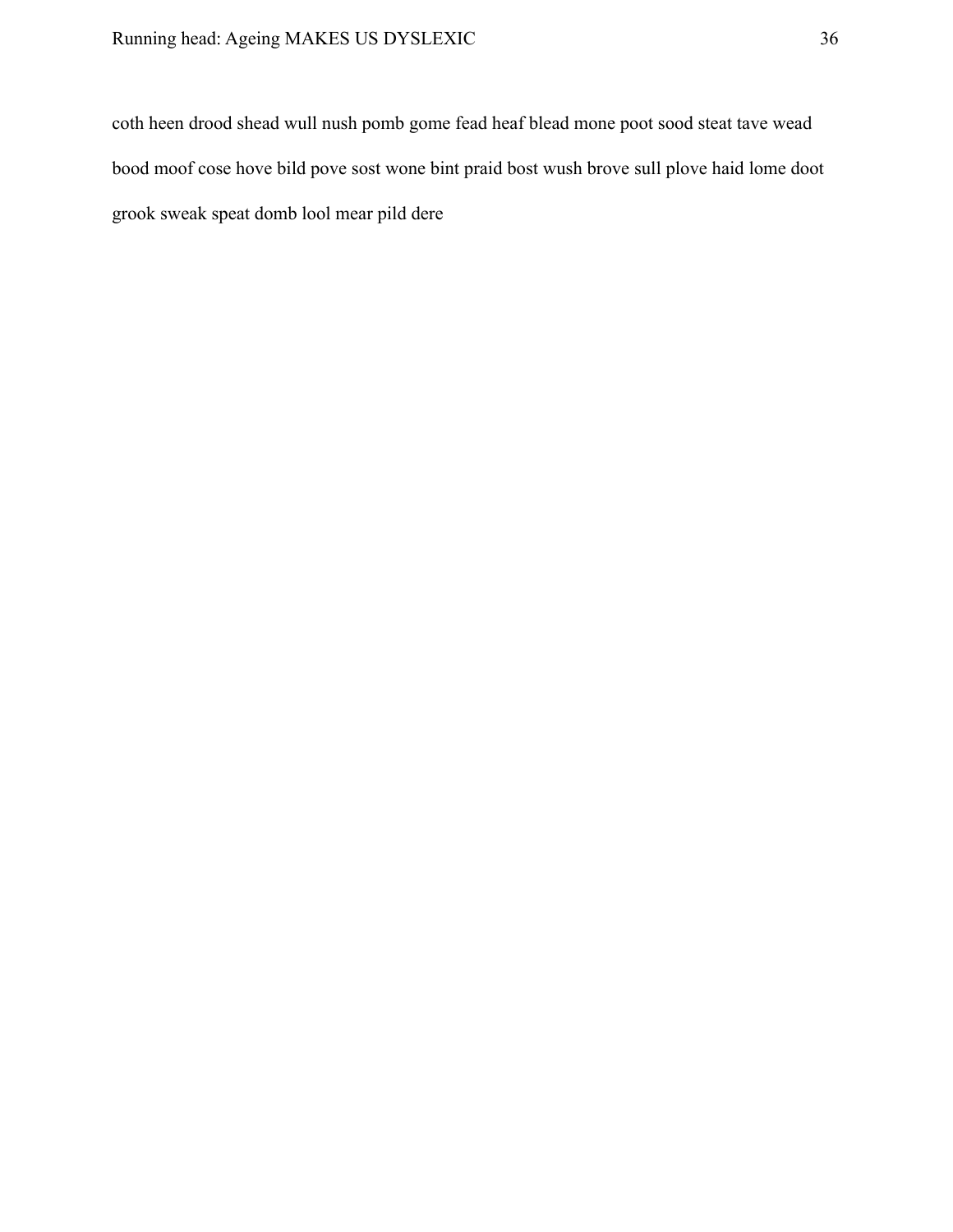coth heen drood shead wull nush pomb gome fead heaf blead mone poot sood steat tave wead bood moof cose hove bild pove sost wone bint praid bost wush brove sull plove haid lome doot grook sweak speat domb lool mear pild dere